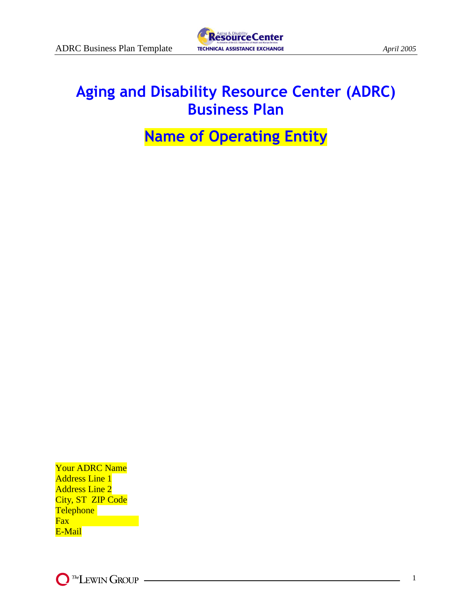

# **Aging and Disability Resource Center (ADRC) Business Plan**

# **Name of Operating Entity**

Your ADRC Name Address Line 1 Address Line 2 City, ST ZIP Code **Telephone Fax** E-Mail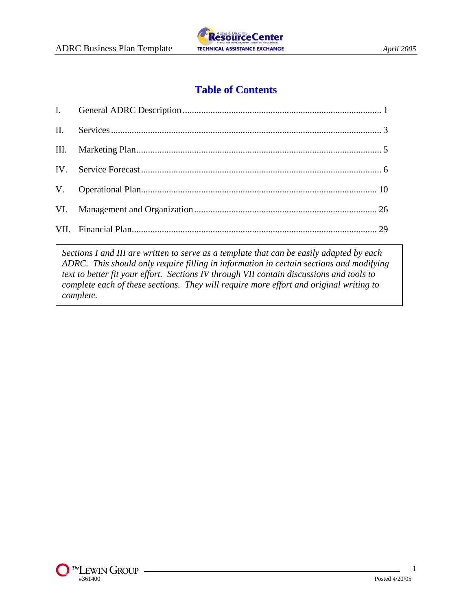

# **Table of Contents**

*Sections I and III are written to serve as a template that can be easily adapted by each ADRC. This should only require filling in information in certain sections and modifying text to better fit your effort. Sections IV through VII contain discussions and tools to complete each of these sections. They will require more effort and original writing to complete.*

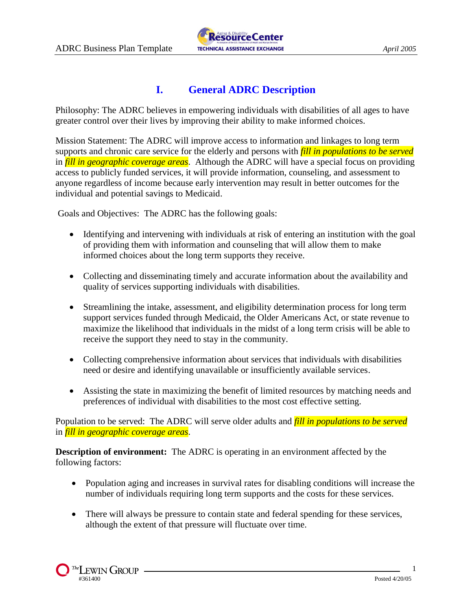

# **I. General ADRC Description**

Philosophy: The ADRC believes in empowering individuals with disabilities of all ages to have greater control over their lives by improving their ability to make informed choices.

Mission Statement: The ADRC will improve access to information and linkages to long term supports and chronic care service for the elderly and persons with *fill in populations to be served* in *fill in geographic coverage areas*. Although the ADRC will have a special focus on providing access to publicly funded services, it will provide information, counseling, and assessment to anyone regardless of income because early intervention may result in better outcomes for the individual and potential savings to Medicaid.

Goals and Objectives: The ADRC has the following goals:

- Identifying and intervening with individuals at risk of entering an institution with the goal of providing them with information and counseling that will allow them to make informed choices about the long term supports they receive.
- Collecting and disseminating timely and accurate information about the availability and quality of services supporting individuals with disabilities.
- Streamlining the intake, assessment, and eligibility determination process for long term support services funded through Medicaid, the Older Americans Act, or state revenue to maximize the likelihood that individuals in the midst of a long term crisis will be able to receive the support they need to stay in the community.
- Collecting comprehensive information about services that individuals with disabilities need or desire and identifying unavailable or insufficiently available services.
- Assisting the state in maximizing the benefit of limited resources by matching needs and preferences of individual with disabilities to the most cost effective setting.

Population to be served: The ADRC will serve older adults and *fill in populations to be served* in *fill in geographic coverage areas*.

**Description of environment:** The ADRC is operating in an environment affected by the following factors:

- Population aging and increases in survival rates for disabling conditions will increase the number of individuals requiring long term supports and the costs for these services.
- There will always be pressure to contain state and federal spending for these services, although the extent of that pressure will fluctuate over time.

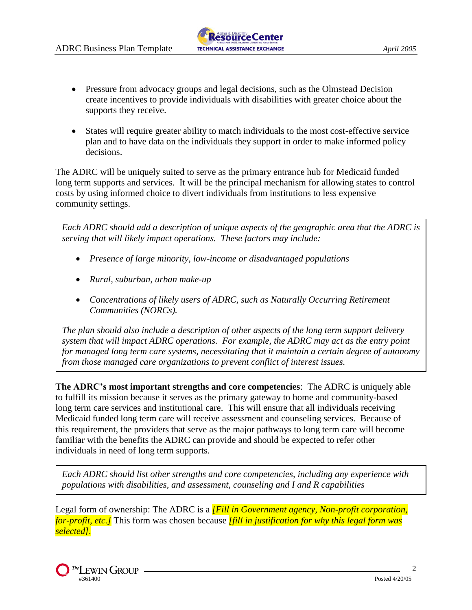- Pressure from advocacy groups and legal decisions, such as the Olmstead Decision create incentives to provide individuals with disabilities with greater choice about the supports they receive.
- States will require greater ability to match individuals to the most cost-effective service plan and to have data on the individuals they support in order to make informed policy decisions.

The ADRC will be uniquely suited to serve as the primary entrance hub for Medicaid funded long term supports and services. It will be the principal mechanism for allowing states to control costs by using informed choice to divert individuals from institutions to less expensive community settings.

*Each ADRC should add a description of unique aspects of the geographic area that the ADRC is serving that will likely impact operations. These factors may include:*

- *Presence of large minority, low-income or disadvantaged populations*
- *Rural, suburban, urban make-up*
- *Concentrations of likely users of ADRC, such as Naturally Occurring Retirement Communities (NORCs).*

*The plan should also include a description of other aspects of the long term support delivery system that will impact ADRC operations. For example, the ADRC may act as the entry point for managed long term care systems, necessitating that it maintain a certain degree of autonomy from those managed care organizations to prevent conflict of interest issues.*

**The ADRC's most important strengths and core competencies**: The ADRC is uniquely able to fulfill its mission because it serves as the primary gateway to home and community-based long term care services and institutional care. This will ensure that all individuals receiving Medicaid funded long term care will receive assessment and counseling services. Because of this requirement, the providers that serve as the major pathways to long term care will become familiar with the benefits the ADRC can provide and should be expected to refer other individuals in need of long term supports.

*Each ADRC should list other strengths and core competencies, including any experience with populations with disabilities, and assessment, counseling and I and R capabilities*

Legal form of ownership: The ADRC is a *[Fill in Government agency, Non-profit corporation, for-profit, etc.]* This form was chosen because *[fill in justification for why this legal form was selected].*

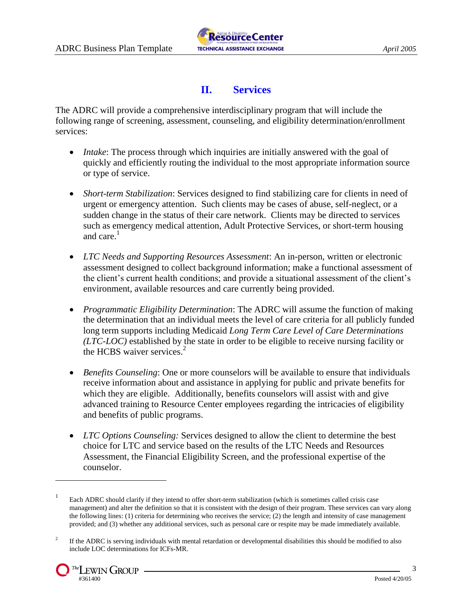

## **II. Services**

The ADRC will provide a comprehensive interdisciplinary program that will include the following range of screening, assessment, counseling, and eligibility determination/enrollment services:

- *Intake*: The process through which inquiries are initially answered with the goal of quickly and efficiently routing the individual to the most appropriate information source or type of service.
- *Short-term Stabilization*: Services designed to find stabilizing care for clients in need of urgent or emergency attention. Such clients may be cases of abuse, self-neglect, or a sudden change in the status of their care network. Clients may be directed to services such as emergency medical attention, Adult Protective Services, or short-term housing and care. $<sup>1</sup>$ </sup>
- *LTC Needs and Supporting Resources Assessment*: An in-person, written or electronic assessment designed to collect background information; make a functional assessment of the client's current health conditions; and provide a situational assessment of the client's environment, available resources and care currently being provided.
- *Programmatic Eligibility Determination*: The ADRC will assume the function of making the determination that an individual meets the level of care criteria for all publicly funded long term supports including Medicaid *Long Term Care Level of Care Determinations (LTC-LOC)* established by the state in order to be eligible to receive nursing facility or the HCBS waiver services. $<sup>2</sup>$ </sup>
- *Benefits Counseling*: One or more counselors will be available to ensure that individuals receive information about and assistance in applying for public and private benefits for which they are eligible. Additionally, benefits counselors will assist with and give advanced training to Resource Center employees regarding the intricacies of eligibility and benefits of public programs.
- *LTC Options Counseling:* Services designed to allow the client to determine the best choice for LTC and service based on the results of the LTC Needs and Resources Assessment, the Financial Eligibility Screen, and the professional expertise of the counselor.

<sup>2</sup> If the ADRC is serving individuals with mental retardation or developmental disabilities this should be modified to also include LOC determinations for ICFs-MR.



 $\overline{a}$ 

<sup>1</sup> Each ADRC should clarify if they intend to offer short-term stabilization (which is sometimes called crisis case management) and alter the definition so that it is consistent with the design of their program. These services can vary along the following lines: (1) criteria for determining who receives the service; (2) the length and intensity of case management provided; and (3) whether any additional services, such as personal care or respite may be made immediately available.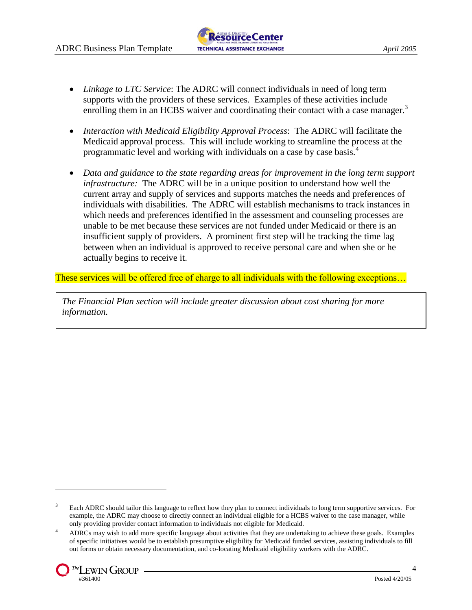- *Linkage to LTC Service*: The ADRC will connect individuals in need of long term supports with the providers of these services. Examples of these activities include enrolling them in an HCBS waiver and coordinating their contact with a case manager.<sup>3</sup>
- *Interaction with Medicaid Eligibility Approval Process*: The ADRC will facilitate the Medicaid approval process. This will include working to streamline the process at the programmatic level and working with individuals on a case by case basis.<sup>4</sup>
- *Data and guidance to the state regarding areas for improvement in the long term support infrastructure:* The ADRC will be in a unique position to understand how well the current array and supply of services and supports matches the needs and preferences of individuals with disabilities. The ADRC will establish mechanisms to track instances in which needs and preferences identified in the assessment and counseling processes are unable to be met because these services are not funded under Medicaid or there is an insufficient supply of providers. A prominent first step will be tracking the time lag between when an individual is approved to receive personal care and when she or he actually begins to receive it.

These services will be offered free of charge to all individuals with the following exceptions...

*The Financial Plan section will include greater discussion about cost sharing for more information.*

<sup>4</sup> ADRCs may wish to add more specific language about activities that they are undertaking to achieve these goals. Examples of specific initiatives would be to establish presumptive eligibility for Medicaid funded services, assisting individuals to fill out forms or obtain necessary documentation, and co-locating Medicaid eligibility workers with the ADRC.



 $\overline{a}$ 

<sup>&</sup>lt;sup>3</sup> Each ADRC should tailor this language to reflect how they plan to connect individuals to long term supportive services. For example, the ADRC may choose to directly connect an individual eligible for a HCBS waiver to the case manager, while only providing provider contact information to individuals not eligible for Medicaid.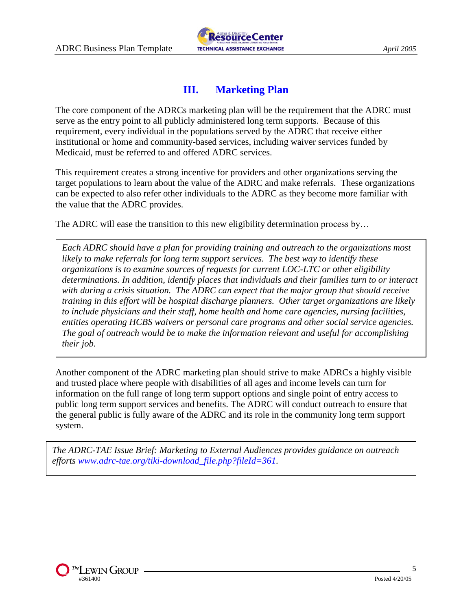

## **III. Marketing Plan**

The core component of the ADRCs marketing plan will be the requirement that the ADRC must serve as the entry point to all publicly administered long term supports. Because of this requirement, every individual in the populations served by the ADRC that receive either institutional or home and community-based services, including waiver services funded by Medicaid, must be referred to and offered ADRC services.

This requirement creates a strong incentive for providers and other organizations serving the target populations to learn about the value of the ADRC and make referrals. These organizations can be expected to also refer other individuals to the ADRC as they become more familiar with the value that the ADRC provides.

The ADRC will ease the transition to this new eligibility determination process by...

*Each ADRC should have a plan for providing training and outreach to the organizations most likely to make referrals for long term support services. The best way to identify these organizations is to examine sources of requests for current LOC-LTC or other eligibility determinations. In addition, identify places that individuals and their families turn to or interact with during a crisis situation. The ADRC can expect that the major group that should receive training in this effort will be hospital discharge planners. Other target organizations are likely to include physicians and their staff, home health and home care agencies, nursing facilities, entities operating HCBS waivers or personal care programs and other social service agencies. The goal of outreach would be to make the information relevant and useful for accomplishing their job.*

Another component of the ADRC marketing plan should strive to make ADRCs a highly visible and trusted place where people with disabilities of all ages and income levels can turn for information on the full range of long term support options and single point of entry access to public long term support services and benefits. The ADRC will conduct outreach to ensure that the general public is fully aware of the ADRC and its role in the community long term support system.

*Service Forecast efforts [www.adrc-tae.org/tiki-download\\_file.php?fileId=361.](file:///::odma/:PCDOCS/LEWINVA/361400/1www.adrc-tae.org/tiki-download_file.php)The ADRC-TAE Issue Brief: Marketing to External Audiences provides guidance on outreach* 

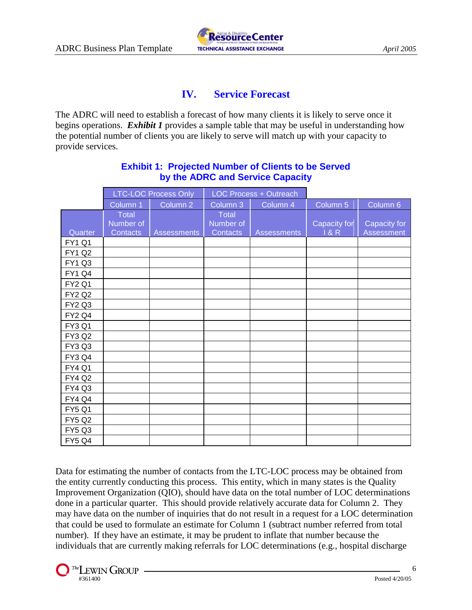

## **IV. Service Forecast**

The ADRC will need to establish a forecast of how many clients it is likely to serve once it begins operations. *Exhibit 1* provides a sample table that may be useful in understanding how the potential number of clients you are likely to serve will match up with your capacity to provide services.

|               |                                       | <b>LTC-LOC Process Only</b> | <b>LOC Process + Outreach</b>         |                    |                     |                                   |
|---------------|---------------------------------------|-----------------------------|---------------------------------------|--------------------|---------------------|-----------------------------------|
|               | Column 1                              | Column <sub>2</sub>         | Column 3                              | Column 4           | Column <sub>5</sub> | Column 6                          |
| Quarter       | <b>Total</b><br>Number of<br>Contacts | <b>Assessments</b>          | <b>Total</b><br>Number of<br>Contacts | <b>Assessments</b> | Capacity for<br>18R | Capacity for<br><b>Assessment</b> |
| <b>FY1 Q1</b> |                                       |                             |                                       |                    |                     |                                   |
| <b>FY1 Q2</b> |                                       |                             |                                       |                    |                     |                                   |
| <b>FY1 Q3</b> |                                       |                             |                                       |                    |                     |                                   |
| <b>FY1 Q4</b> |                                       |                             |                                       |                    |                     |                                   |
| <b>FY2 Q1</b> |                                       |                             |                                       |                    |                     |                                   |
| <b>FY2 Q2</b> |                                       |                             |                                       |                    |                     |                                   |
| <b>FY2 Q3</b> |                                       |                             |                                       |                    |                     |                                   |
| <b>FY2 Q4</b> |                                       |                             |                                       |                    |                     |                                   |
| <b>FY3 Q1</b> |                                       |                             |                                       |                    |                     |                                   |
| <b>FY3 Q2</b> |                                       |                             |                                       |                    |                     |                                   |
| FY3 Q3        |                                       |                             |                                       |                    |                     |                                   |
| <b>FY3 Q4</b> |                                       |                             |                                       |                    |                     |                                   |
| <b>FY4 Q1</b> |                                       |                             |                                       |                    |                     |                                   |
| <b>FY4 Q2</b> |                                       |                             |                                       |                    |                     |                                   |
| <b>FY4 Q3</b> |                                       |                             |                                       |                    |                     |                                   |
| <b>FY4 Q4</b> |                                       |                             |                                       |                    |                     |                                   |
| <b>FY5 Q1</b> |                                       |                             |                                       |                    |                     |                                   |
| <b>FY5 Q2</b> |                                       |                             |                                       |                    |                     |                                   |
| <b>FY5 Q3</b> |                                       |                             |                                       |                    |                     |                                   |
| <b>FY5 Q4</b> |                                       |                             |                                       |                    |                     |                                   |

### **Exhibit 1: Projected Number of Clients to be Served by the ADRC and Service Capacity**

Data for estimating the number of contacts from the LTC-LOC process may be obtained from the entity currently conducting this process. This entity, which in many states is the Quality Improvement Organization (QIO), should have data on the total number of LOC determinations done in a particular quarter. This should provide relatively accurate data for Column 2. They may have data on the number of inquiries that do not result in a request for a LOC determination that could be used to formulate an estimate for Column 1 (subtract number referred from total number). If they have an estimate, it may be prudent to inflate that number because the individuals that are currently making referrals for LOC determinations (e.g., hospital discharge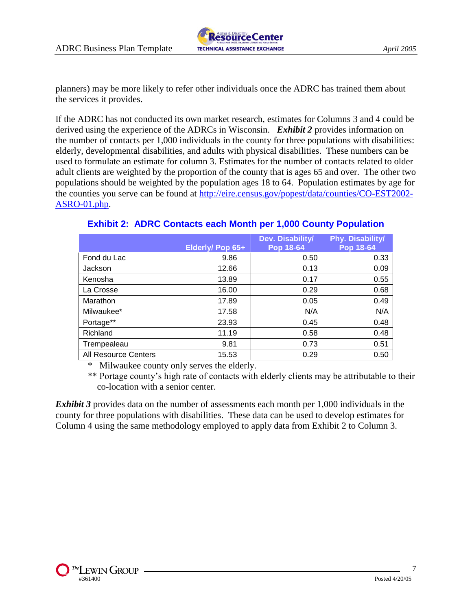

planners) may be more likely to refer other individuals once the ADRC has trained them about the services it provides.

If the ADRC has not conducted its own market research, estimates for Columns 3 and 4 could be derived using the experience of the ADRCs in Wisconsin. *Exhibit 2* provides information on the number of contacts per 1,000 individuals in the county for three populations with disabilities: elderly, developmental disabilities, and adults with physical disabilities. These numbers can be used to formulate an estimate for column 3. Estimates for the number of contacts related to older adult clients are weighted by the proportion of the county that is ages 65 and over. The other two populations should be weighted by the population ages 18 to 64. Population estimates by age for the counties you serve can be found at [http://eire.census.gov/popest/data/counties/CO-EST2002-](http://eire.census.gov/popest/data/counties/CO-EST2002-ASRO-01.php) [ASRO-01.php.](http://eire.census.gov/popest/data/counties/CO-EST2002-ASRO-01.php)

|                      |                  | Dev. Disability/ | Phy. Disability/ |
|----------------------|------------------|------------------|------------------|
|                      | Elderly/ Pop 65+ | Pop 18-64        | Pop 18-64        |
| Fond du Lac          | 9.86             | 0.50             | 0.33             |
| Jackson              | 12.66            | 0.13             | 0.09             |
| Kenosha              | 13.89            | 0.17             | 0.55             |
| La Crosse            | 16.00            | 0.29             | 0.68             |
| Marathon             | 17.89            | 0.05             | 0.49             |
| Milwaukee*           | 17.58            | N/A              | N/A              |
| Portage**            | 23.93            | 0.45             | 0.48             |
| Richland             | 11.19            | 0.58             | 0.48             |
| Trempealeau          | 9.81             | 0.73             | 0.51             |
| All Resource Centers | 15.53            | 0.29             | 0.50             |

## **Exhibit 2: ADRC Contacts each Month per 1,000 County Population**

Milwaukee county only serves the elderly.

\*\* Portage county's high rate of contacts with elderly clients may be attributable to their co-location with a senior center.

**Exhibit 3** provides data on the number of assessments each month per 1,000 individuals in the county for three populations with disabilities. These data can be used to develop estimates for Column 4 using the same methodology employed to apply data from Exhibit 2 to Column 3.

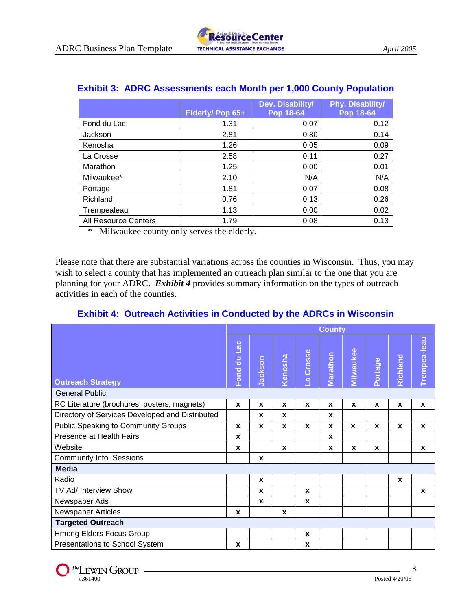|                             | Elderly/ Pop 65+ | Dev. Disability/<br>Pop 18-64 | Phy. Disability/<br>Pop 18-64 |
|-----------------------------|------------------|-------------------------------|-------------------------------|
| Fond du Lac                 | 1.31             | 0.07                          | 0.12                          |
| Jackson                     | 2.81             | 0.80                          | 0.14                          |
| Kenosha                     | 1.26             | 0.05                          | 0.09                          |
| La Crosse                   | 2.58             | 0.11                          | 0.27                          |
| Marathon                    | 1.25             | 0.00                          | 0.01                          |
| Milwaukee*                  | 2.10             | N/A                           | N/A                           |
| Portage                     | 1.81             | 0.07                          | 0.08                          |
| Richland                    | 0.76             | 0.13                          | 0.26                          |
| Trempealeau                 | 1.13             | 0.00                          | 0.02                          |
| <b>All Resource Centers</b> | 1.79             | 0.08                          | 0.13                          |

## **Exhibit 3: ADRC Assessments each Month per 1,000 County Population**

\* Milwaukee county only serves the elderly.

Please note that there are substantial variations across the counties in Wisconsin. Thus, you may wish to select a county that has implemented an outreach plan similar to the one that you are planning for your ADRC. *Exhibit 4* provides summary information on the types of outreach activities in each of the counties.

## **Exhibit 4: Outreach Activities in Conducted by the ADRCs in Wisconsin**

|                                                 | <b>County</b> |                  |                  |                        |                  |              |              |              |              |
|-------------------------------------------------|---------------|------------------|------------------|------------------------|------------------|--------------|--------------|--------------|--------------|
| <b>Outreach Strategy</b>                        | Fond du Lac   | Jackson          | Kenosha          | Crosse<br>$\mathbf{a}$ | Marathon         | Milwaukee    | Portage      | Richland     | Trempea-leau |
| <b>General Public</b>                           |               |                  |                  |                        |                  |              |              |              |              |
| RC Literature (brochures, posters, magnets)     | $\pmb{\chi}$  | $\boldsymbol{x}$ | $\boldsymbol{x}$ | $\mathbf{x}$           | $\boldsymbol{x}$ | $\mathbf{x}$ | $\mathbf{x}$ | $\pmb{\chi}$ | X            |
| Directory of Services Developed and Distributed |               | X                | $\mathbf{x}$     |                        | X                |              |              |              |              |
| Public Speaking to Community Groups             | $\mathbf x$   | X                | $\mathbf{x}$     | $\mathbf{x}$           | X                | $\mathbf{x}$ | X            | $\mathbf{x}$ | X            |
| Presence at Health Fairs                        | $\mathbf{x}$  |                  |                  |                        | X                |              |              |              |              |
| Website                                         | X             |                  | $\mathbf x$      |                        | X                | X            | X            |              | X            |
| <b>Community Info. Sessions</b>                 |               | $\boldsymbol{x}$ |                  |                        |                  |              |              |              |              |
| <b>Media</b>                                    |               |                  |                  |                        |                  |              |              |              |              |
| Radio                                           |               | $\mathbf{x}$     |                  |                        |                  |              |              | X            |              |
| TV Ad/ Interview Show                           |               | X                |                  | X                      |                  |              |              |              | X            |
| Newspaper Ads                                   |               | $\mathbf{x}$     |                  | X                      |                  |              |              |              |              |
| <b>Newspaper Articles</b>                       | X             |                  | $\mathbf{x}$     |                        |                  |              |              |              |              |
| <b>Targeted Outreach</b>                        |               |                  |                  |                        |                  |              |              |              |              |
| Hmong Elders Focus Group                        |               |                  |                  | X                      |                  |              |              |              |              |
| Presentations to School System                  | X             |                  |                  | X                      |                  |              |              |              |              |

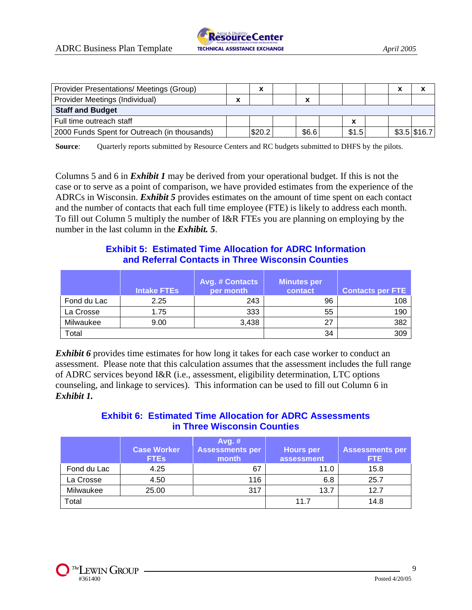| <b>Provider Presentations/ Meetings (Group)</b> |        | $\checkmark$<br>^ |                          |       | $\overline{\phantom{a}}$<br>~ | $\checkmark$   |
|-------------------------------------------------|--------|-------------------|--------------------------|-------|-------------------------------|----------------|
| Provider Meetings (Individual)                  | v<br>^ |                   | $\overline{\phantom{a}}$ |       |                               |                |
| <b>Staff and Budget</b>                         |        |                   |                          |       |                               |                |
| Full time outreach staff                        |        |                   |                          |       |                               |                |
| 2000 Funds Spent for Outreach (in thousands)    |        | \$20.2            | \$6.6                    | \$1.5 |                               | $$3.5$ \\$16.7 |

**Source:** Quarterly reports submitted by Resource Centers and RC budgets submitted to DHFS by the pilots.

Columns 5 and 6 in *Exhibit 1* may be derived from your operational budget. If this is not the case or to serve as a point of comparison, we have provided estimates from the experience of the ADRCs in Wisconsin. *Exhibit 5* provides estimates on the amount of time spent on each contact and the number of contacts that each full time employee (FTE) is likely to address each month. To fill out Column 5 multiply the number of I&R FTEs you are planning on employing by the number in the last column in the *Exhibit. 5*.

### **Exhibit 5: Estimated Time Allocation for ADRC Information and Referral Contacts in Three Wisconsin Counties**

|             | <b>Intake FTEs</b> | <b>Avg. # Contacts</b><br>per month | <b>Minutes per</b><br>contact | <b>Contacts per FTE</b> |
|-------------|--------------------|-------------------------------------|-------------------------------|-------------------------|
| Fond du Lac | 2.25               | 243                                 | 96                            | 108                     |
| La Crosse   | 1.75               | 333                                 | 55                            | 190                     |
| Milwaukee   | 9.00               | 3,438                               | 27                            | 382                     |
| Total       |                    |                                     | 34                            | 309                     |

**Exhibit 6** provides time estimates for how long it takes for each case worker to conduct an assessment. Please note that this calculation assumes that the assessment includes the full range of ADRC services beyond I&R (i.e., assessment, eligibility determination, LTC options counseling, and linkage to services). This information can be used to fill out Column 6 in *Exhibit 1.*

## **Exhibit 6: Estimated Time Allocation for ADRC Assessments in Three Wisconsin Counties**

|             |                    | Avg. $#$               |                  |                        |
|-------------|--------------------|------------------------|------------------|------------------------|
|             | <b>Case Worker</b> | <b>Assessments per</b> | <b>Hours</b> per | <b>Assessments per</b> |
|             | <b>FTEs</b>        | month                  | assessment       | FTE.                   |
| Fond du Lac | 4.25               | 67                     | 11.0             | 15.8                   |
| La Crosse   | 4.50               | 116                    | 6.8              | 25.7                   |
| Milwaukee   | 25.00              | 317                    | 13.7             | 12.7                   |
| Total       |                    |                        | 11.7             | 14.8                   |

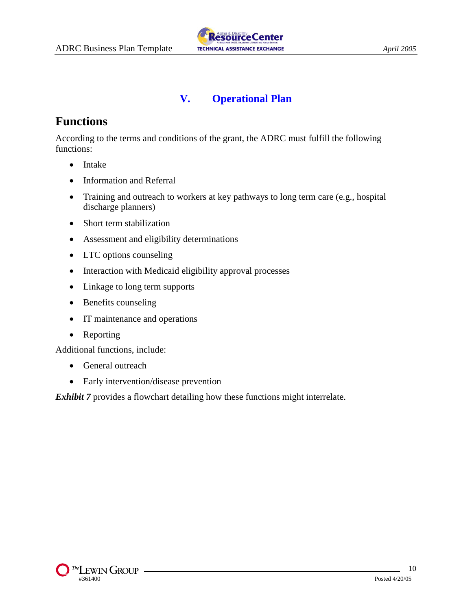

# **V. Operational Plan**

# **Functions**

According to the terms and conditions of the grant, the ADRC must fulfill the following functions:

- Intake
- Information and Referral
- Training and outreach to workers at key pathways to long term care (e.g., hospital discharge planners)
- Short term stabilization
- Assessment and eligibility determinations
- LTC options counseling
- Interaction with Medicaid eligibility approval processes
- Linkage to long term supports
- Benefits counseling
- IT maintenance and operations
- Reporting

Additional functions, include:

- General outreach
- Early intervention/disease prevention

*Exhibit 7* provides a flowchart detailing how these functions might interrelate.

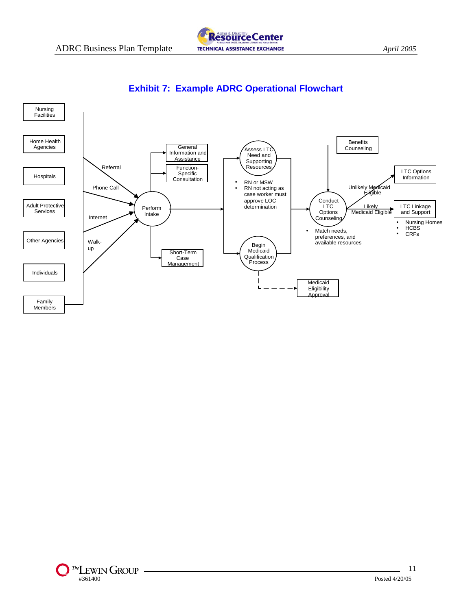



## **Exhibit 7: Example ADRC Operational Flowchart**

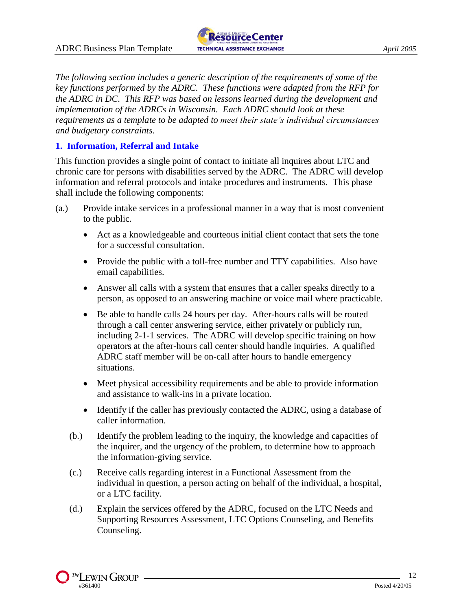

*The following section includes a generic description of the requirements of some of the key functions performed by the ADRC. These functions were adapted from the RFP for the ADRC in DC. This RFP was based on lessons learned during the development and implementation of the ADRCs in Wisconsin. Each ADRC should look at these requirements as a template to be adapted to meet their state's individual circumstances and budgetary constraints.*

#### **1. Information, Referral and Intake**

This function provides a single point of contact to initiate all inquires about LTC and chronic care for persons with disabilities served by the ADRC. The ADRC will develop information and referral protocols and intake procedures and instruments. This phase shall include the following components:

- (a.) Provide intake services in a professional manner in a way that is most convenient to the public.
	- Act as a knowledgeable and courteous initial client contact that sets the tone for a successful consultation.
	- Provide the public with a toll-free number and TTY capabilities. Also have email capabilities.
	- Answer all calls with a system that ensures that a caller speaks directly to a person, as opposed to an answering machine or voice mail where practicable.
	- Be able to handle calls 24 hours per day. After-hours calls will be routed through a call center answering service, either privately or publicly run, including 2-1-1 services. The ADRC will develop specific training on how operators at the after-hours call center should handle inquiries. A qualified ADRC staff member will be on-call after hours to handle emergency situations.
	- Meet physical accessibility requirements and be able to provide information and assistance to walk-ins in a private location.
	- Identify if the caller has previously contacted the ADRC, using a database of caller information.
	- (b.) Identify the problem leading to the inquiry, the knowledge and capacities of the inquirer, and the urgency of the problem, to determine how to approach the information-giving service.
	- (c.) Receive calls regarding interest in a Functional Assessment from the individual in question, a person acting on behalf of the individual, a hospital, or a LTC facility.
	- (d.) Explain the services offered by the ADRC, focused on the LTC Needs and Supporting Resources Assessment, LTC Options Counseling, and Benefits Counseling.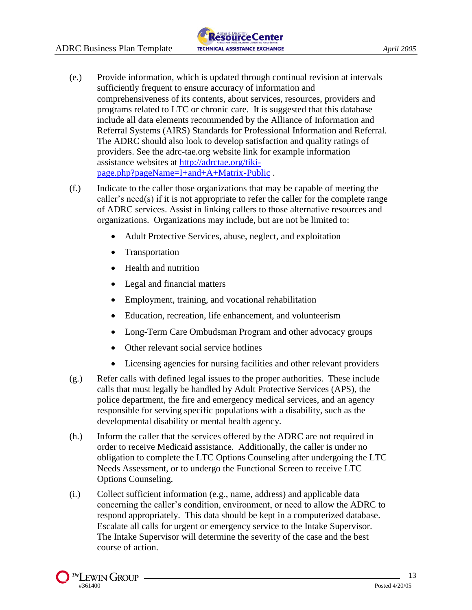

- (e.) Provide information, which is updated through continual revision at intervals sufficiently frequent to ensure accuracy of information and comprehensiveness of its contents, about services, resources, providers and programs related to LTC or chronic care. It is suggested that this database include all data elements recommended by the Alliance of Information and Referral Systems (AIRS) Standards for Professional Information and Referral. The ADRC should also look to develop satisfaction and quality ratings of providers. See the adrc-tae.org website link for example information assistance websites at [http://adrctae.org/tiki](http://adrctae.org/tiki-page.php?pageName=I+and+A+Matrix-Public)[page.php?pageName=I+and+A+Matrix-Public](http://adrctae.org/tiki-page.php?pageName=I+and+A+Matrix-Public) .
- (f.) Indicate to the caller those organizations that may be capable of meeting the caller's need(s) if it is not appropriate to refer the caller for the complete range of ADRC services. Assist in linking callers to those alternative resources and organizations. Organizations may include, but are not be limited to:
	- Adult Protective Services, abuse, neglect, and exploitation
	- Transportation
	- Health and nutrition
	- Legal and financial matters
	- Employment, training, and vocational rehabilitation
	- Education, recreation, life enhancement, and volunteerism
	- Long-Term Care Ombudsman Program and other advocacy groups
	- Other relevant social service hotlines
	- Licensing agencies for nursing facilities and other relevant providers
- (g.) Refer calls with defined legal issues to the proper authorities. These include calls that must legally be handled by Adult Protective Services (APS), the police department, the fire and emergency medical services, and an agency responsible for serving specific populations with a disability, such as the developmental disability or mental health agency.
- (h.) Inform the caller that the services offered by the ADRC are not required in order to receive Medicaid assistance. Additionally, the caller is under no obligation to complete the LTC Options Counseling after undergoing the LTC Needs Assessment, or to undergo the Functional Screen to receive LTC Options Counseling.
- (i.) Collect sufficient information (e.g., name, address) and applicable data concerning the caller's condition, environment, or need to allow the ADRC to respond appropriately. This data should be kept in a computerized database. Escalate all calls for urgent or emergency service to the Intake Supervisor. The Intake Supervisor will determine the severity of the case and the best course of action.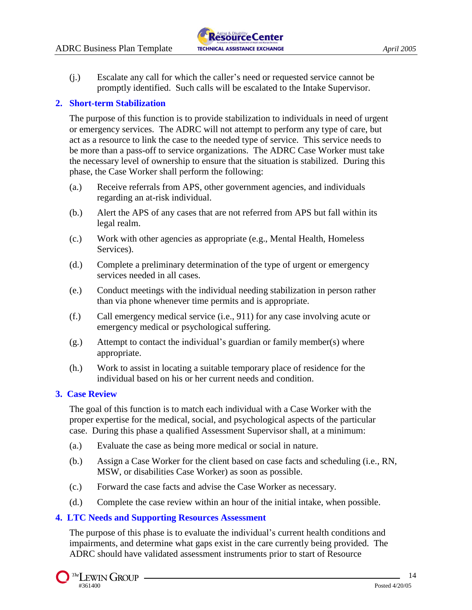(j.) Escalate any call for which the caller's need or requested service cannot be promptly identified. Such calls will be escalated to the Intake Supervisor.

#### **2. Short-term Stabilization**

The purpose of this function is to provide stabilization to individuals in need of urgent or emergency services. The ADRC will not attempt to perform any type of care, but act as a resource to link the case to the needed type of service. This service needs to be more than a pass-off to service organizations. The ADRC Case Worker must take the necessary level of ownership to ensure that the situation is stabilized. During this phase, the Case Worker shall perform the following:

- (a.) Receive referrals from APS, other government agencies, and individuals regarding an at-risk individual.
- (b.) Alert the APS of any cases that are not referred from APS but fall within its legal realm.
- (c.) Work with other agencies as appropriate (e.g., Mental Health, Homeless Services).
- (d.) Complete a preliminary determination of the type of urgent or emergency services needed in all cases.
- (e.) Conduct meetings with the individual needing stabilization in person rather than via phone whenever time permits and is appropriate.
- (f.) Call emergency medical service (i.e., 911) for any case involving acute or emergency medical or psychological suffering.
- (g.) Attempt to contact the individual's guardian or family member(s) where appropriate.
- (h.) Work to assist in locating a suitable temporary place of residence for the individual based on his or her current needs and condition.

#### **3. Case Review**

The goal of this function is to match each individual with a Case Worker with the proper expertise for the medical, social, and psychological aspects of the particular case. During this phase a qualified Assessment Supervisor shall, at a minimum:

- (a.) Evaluate the case as being more medical or social in nature.
- (b.) Assign a Case Worker for the client based on case facts and scheduling (i.e., RN, MSW, or disabilities Case Worker) as soon as possible.
- (c.) Forward the case facts and advise the Case Worker as necessary.
- (d.) Complete the case review within an hour of the initial intake, when possible.

#### **4. LTC Needs and Supporting Resources Assessment**

The purpose of this phase is to evaluate the individual's current health conditions and impairments, and determine what gaps exist in the care currently being provided. The ADRC should have validated assessment instruments prior to start of Resource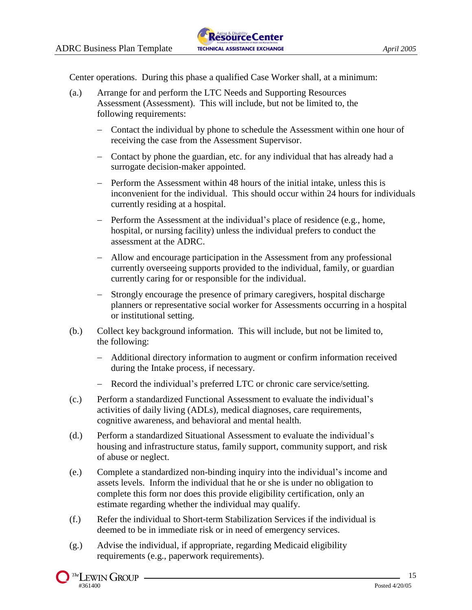Center operations. During this phase a qualified Case Worker shall, at a minimum:

- (a.) Arrange for and perform the LTC Needs and Supporting Resources Assessment (Assessment). This will include, but not be limited to, the following requirements:
	- Contact the individual by phone to schedule the Assessment within one hour of receiving the case from the Assessment Supervisor.
	- Contact by phone the guardian, etc. for any individual that has already had a surrogate decision-maker appointed.
	- Perform the Assessment within 48 hours of the initial intake, unless this is inconvenient for the individual. This should occur within 24 hours for individuals currently residing at a hospital.
	- Perform the Assessment at the individual's place of residence (e.g., home, hospital, or nursing facility) unless the individual prefers to conduct the assessment at the ADRC.
	- Allow and encourage participation in the Assessment from any professional currently overseeing supports provided to the individual, family, or guardian currently caring for or responsible for the individual.
	- Strongly encourage the presence of primary caregivers, hospital discharge planners or representative social worker for Assessments occurring in a hospital or institutional setting.
- (b.) Collect key background information. This will include, but not be limited to, the following:
	- Additional directory information to augment or confirm information received during the Intake process, if necessary.
	- Record the individual's preferred LTC or chronic care service/setting.
- (c.) Perform a standardized Functional Assessment to evaluate the individual's activities of daily living (ADLs), medical diagnoses, care requirements, cognitive awareness, and behavioral and mental health.
- (d.) Perform a standardized Situational Assessment to evaluate the individual's housing and infrastructure status, family support, community support, and risk of abuse or neglect.
- (e.) Complete a standardized non-binding inquiry into the individual's income and assets levels. Inform the individual that he or she is under no obligation to complete this form nor does this provide eligibility certification, only an estimate regarding whether the individual may qualify.
- (f.) Refer the individual to Short-term Stabilization Services if the individual is deemed to be in immediate risk or in need of emergency services.
- (g.) Advise the individual, if appropriate, regarding Medicaid eligibility requirements (e.g., paperwork requirements).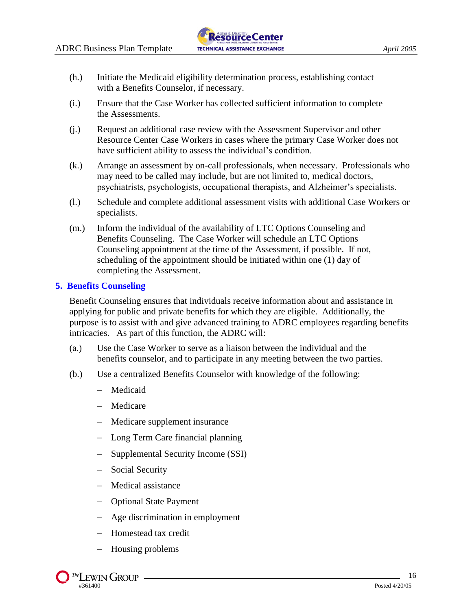- (h.) Initiate the Medicaid eligibility determination process, establishing contact with a Benefits Counselor, if necessary.
- (i.) Ensure that the Case Worker has collected sufficient information to complete the Assessments.
- (j.) Request an additional case review with the Assessment Supervisor and other Resource Center Case Workers in cases where the primary Case Worker does not have sufficient ability to assess the individual's condition.
- (k.) Arrange an assessment by on-call professionals, when necessary. Professionals who may need to be called may include, but are not limited to, medical doctors, psychiatrists, psychologists, occupational therapists, and Alzheimer's specialists.
- (l.) Schedule and complete additional assessment visits with additional Case Workers or specialists.
- (m.) Inform the individual of the availability of LTC Options Counseling and Benefits Counseling. The Case Worker will schedule an LTC Options Counseling appointment at the time of the Assessment, if possible. If not, scheduling of the appointment should be initiated within one (1) day of completing the Assessment.

#### **5. Benefits Counseling**

Benefit Counseling ensures that individuals receive information about and assistance in applying for public and private benefits for which they are eligible. Additionally, the purpose is to assist with and give advanced training to ADRC employees regarding benefits intricacies. As part of this function, the ADRC will:

- (a.) Use the Case Worker to serve as a liaison between the individual and the benefits counselor, and to participate in any meeting between the two parties.
- (b.) Use a centralized Benefits Counselor with knowledge of the following:
	- Medicaid
	- Medicare
	- Medicare supplement insurance
	- Long Term Care financial planning
	- Supplemental Security Income (SSI)
	- Social Security
	- Medical assistance
	- Optional State Payment
	- Age discrimination in employment
	- Homestead tax credit
	- Housing problems

 $\sqrt{I}$  The LEWIN GROUP -#361400 Posted 4/20/05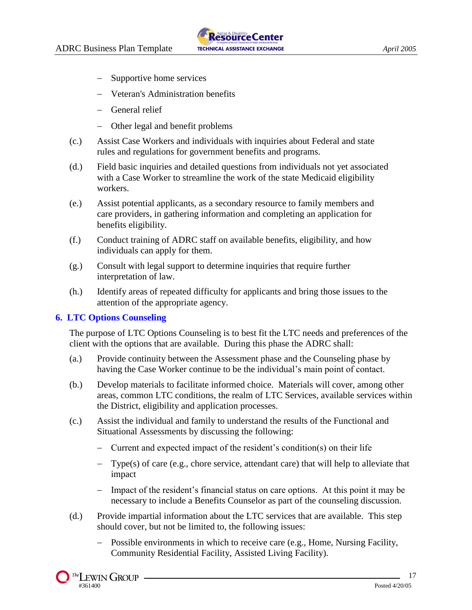- Supportive home services
- Veteran's Administration benefits
- General relief
- Other legal and benefit problems
- (c.) Assist Case Workers and individuals with inquiries about Federal and state rules and regulations for government benefits and programs.
- (d.) Field basic inquiries and detailed questions from individuals not yet associated with a Case Worker to streamline the work of the state Medicaid eligibility workers.
- (e.) Assist potential applicants, as a secondary resource to family members and care providers, in gathering information and completing an application for benefits eligibility.
- (f.) Conduct training of ADRC staff on available benefits, eligibility, and how individuals can apply for them.
- (g.) Consult with legal support to determine inquiries that require further interpretation of law.
- (h.) Identify areas of repeated difficulty for applicants and bring those issues to the attention of the appropriate agency.

#### **6. LTC Options Counseling**

The purpose of LTC Options Counseling is to best fit the LTC needs and preferences of the client with the options that are available. During this phase the ADRC shall:

- (a.) Provide continuity between the Assessment phase and the Counseling phase by having the Case Worker continue to be the individual's main point of contact.
- (b.) Develop materials to facilitate informed choice. Materials will cover, among other areas, common LTC conditions, the realm of LTC Services, available services within the District, eligibility and application processes.
- (c.) Assist the individual and family to understand the results of the Functional and Situational Assessments by discussing the following:
	- Current and expected impact of the resident's condition(s) on their life
	- $-$  Type(s) of care (e.g., chore service, attendant care) that will help to alleviate that impact
	- Impact of the resident's financial status on care options. At this point it may be necessary to include a Benefits Counselor as part of the counseling discussion.
- (d.) Provide impartial information about the LTC services that are available. This step should cover, but not be limited to, the following issues:
	- Possible environments in which to receive care (e.g., Home, Nursing Facility, Community Residential Facility, Assisted Living Facility).

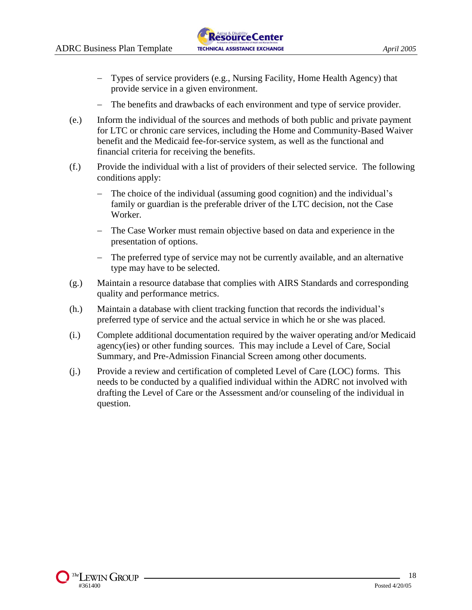- Types of service providers (e.g., Nursing Facility, Home Health Agency) that provide service in a given environment.
- The benefits and drawbacks of each environment and type of service provider.
- (e.) Inform the individual of the sources and methods of both public and private payment for LTC or chronic care services, including the Home and Community-Based Waiver benefit and the Medicaid fee-for-service system, as well as the functional and financial criteria for receiving the benefits.
- (f.) Provide the individual with a list of providers of their selected service. The following conditions apply:
	- The choice of the individual (assuming good cognition) and the individual's family or guardian is the preferable driver of the LTC decision, not the Case Worker.
	- The Case Worker must remain objective based on data and experience in the presentation of options.
	- The preferred type of service may not be currently available, and an alternative type may have to be selected.
- (g.) Maintain a resource database that complies with AIRS Standards and corresponding quality and performance metrics.
- (h.) Maintain a database with client tracking function that records the individual's preferred type of service and the actual service in which he or she was placed.
- (i.) Complete additional documentation required by the waiver operating and/or Medicaid agency(ies) or other funding sources. This may include a Level of Care, Social Summary, and Pre-Admission Financial Screen among other documents.
- (j.) Provide a review and certification of completed Level of Care (LOC) forms. This needs to be conducted by a qualified individual within the ADRC not involved with drafting the Level of Care or the Assessment and/or counseling of the individual in question.

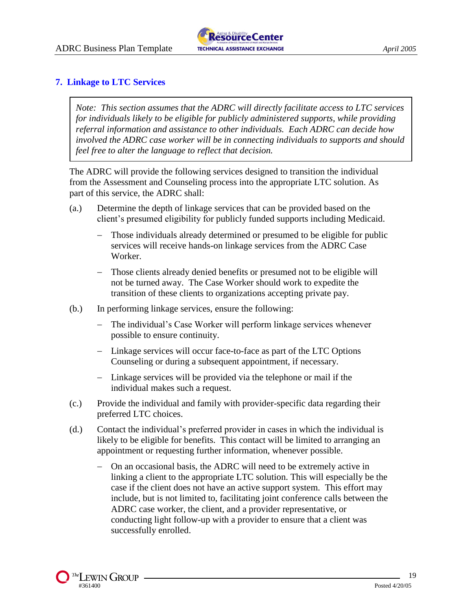

#### **7. Linkage to LTC Services**

*Note: This section assumes that the ADRC will directly facilitate access to LTC services for individuals likely to be eligible for publicly administered supports, while providing referral information and assistance to other individuals. Each ADRC can decide how involved the ADRC case worker will be in connecting individuals to supports and should feel free to alter the language to reflect that decision.*

The ADRC will provide the following services designed to transition the individual from the Assessment and Counseling process into the appropriate LTC solution. As part of this service, the ADRC shall:

- (a.) Determine the depth of linkage services that can be provided based on the client's presumed eligibility for publicly funded supports including Medicaid.
	- Those individuals already determined or presumed to be eligible for public services will receive hands-on linkage services from the ADRC Case Worker.
	- Those clients already denied benefits or presumed not to be eligible will not be turned away. The Case Worker should work to expedite the transition of these clients to organizations accepting private pay.
- (b.) In performing linkage services, ensure the following:
	- The individual's Case Worker will perform linkage services whenever possible to ensure continuity.
	- Linkage services will occur face-to-face as part of the LTC Options Counseling or during a subsequent appointment, if necessary.
	- $-$  Linkage services will be provided via the telephone or mail if the individual makes such a request.
- (c.) Provide the individual and family with provider-specific data regarding their preferred LTC choices.
- (d.) Contact the individual's preferred provider in cases in which the individual is likely to be eligible for benefits. This contact will be limited to arranging an appointment or requesting further information, whenever possible.
	- On an occasional basis, the ADRC will need to be extremely active in linking a client to the appropriate LTC solution. This will especially be the case if the client does not have an active support system. This effort may include, but is not limited to, facilitating joint conference calls between the ADRC case worker, the client, and a provider representative, or conducting light follow-up with a provider to ensure that a client was successfully enrolled.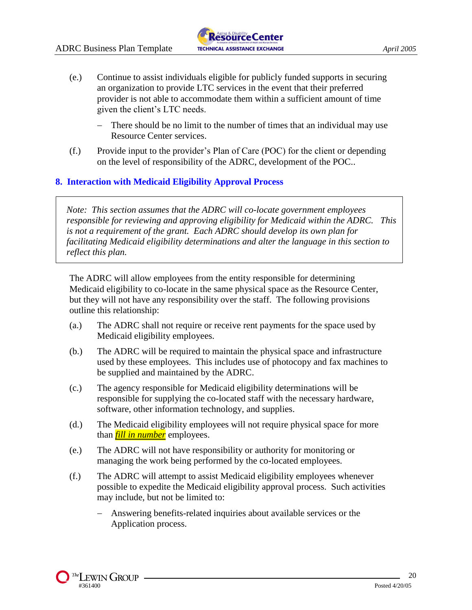

- (e.) Continue to assist individuals eligible for publicly funded supports in securing an organization to provide LTC services in the event that their preferred provider is not able to accommodate them within a sufficient amount of time given the client's LTC needs.
	- There should be no limit to the number of times that an individual may use Resource Center services.
- (f.) Provide input to the provider's Plan of Care (POC) for the client or depending on the level of responsibility of the ADRC, development of the POC..

#### **8. Interaction with Medicaid Eligibility Approval Process**

*Note: This section assumes that the ADRC will co-locate government employees responsible for reviewing and approving eligibility for Medicaid within the ADRC. This is not a requirement of the grant. Each ADRC should develop its own plan for facilitating Medicaid eligibility determinations and alter the language in this section to reflect this plan.* 

The ADRC will allow employees from the entity responsible for determining Medicaid eligibility to co-locate in the same physical space as the Resource Center, but they will not have any responsibility over the staff. The following provisions outline this relationship:

- (a.) The ADRC shall not require or receive rent payments for the space used by Medicaid eligibility employees.
- (b.) The ADRC will be required to maintain the physical space and infrastructure used by these employees. This includes use of photocopy and fax machines to be supplied and maintained by the ADRC.
- (c.) The agency responsible for Medicaid eligibility determinations will be responsible for supplying the co-located staff with the necessary hardware, software, other information technology, and supplies.
- (d.) The Medicaid eligibility employees will not require physical space for more than *fill in number* employees.
- (e.) The ADRC will not have responsibility or authority for monitoring or managing the work being performed by the co-located employees.
- (f.) The ADRC will attempt to assist Medicaid eligibility employees whenever possible to expedite the Medicaid eligibility approval process. Such activities may include, but not be limited to:
	- Answering benefits-related inquiries about available services or the Application process.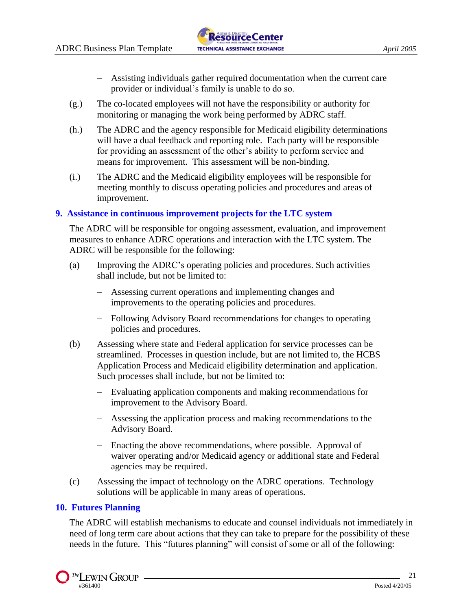

- Assisting individuals gather required documentation when the current care provider or individual's family is unable to do so.
- (g.) The co-located employees will not have the responsibility or authority for monitoring or managing the work being performed by ADRC staff.
- (h.) The ADRC and the agency responsible for Medicaid eligibility determinations will have a dual feedback and reporting role. Each party will be responsible for providing an assessment of the other's ability to perform service and means for improvement. This assessment will be non-binding.
- (i.) The ADRC and the Medicaid eligibility employees will be responsible for meeting monthly to discuss operating policies and procedures and areas of improvement.

#### **9. Assistance in continuous improvement projects for the LTC system**

The ADRC will be responsible for ongoing assessment, evaluation, and improvement measures to enhance ADRC operations and interaction with the LTC system. The ADRC will be responsible for the following:

- (a) Improving the ADRC's operating policies and procedures. Such activities shall include, but not be limited to:
	- Assessing current operations and implementing changes and improvements to the operating policies and procedures.
	- Following Advisory Board recommendations for changes to operating policies and procedures.
- (b) Assessing where state and Federal application for service processes can be streamlined. Processes in question include, but are not limited to, the HCBS Application Process and Medicaid eligibility determination and application. Such processes shall include, but not be limited to:
	- Evaluating application components and making recommendations for improvement to the Advisory Board.
	- Assessing the application process and making recommendations to the Advisory Board.
	- Enacting the above recommendations, where possible. Approval of waiver operating and/or Medicaid agency or additional state and Federal agencies may be required.
- (c) Assessing the impact of technology on the ADRC operations. Technology solutions will be applicable in many areas of operations.

#### **10. Futures Planning**

The ADRC will establish mechanisms to educate and counsel individuals not immediately in need of long term care about actions that they can take to prepare for the possibility of these needs in the future. This "futures planning" will consist of some or all of the following: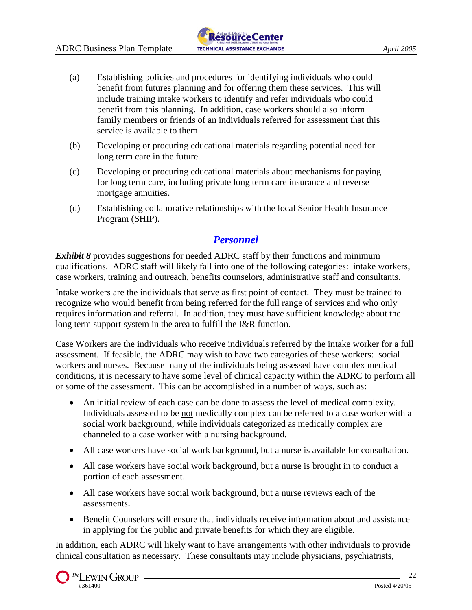- (a) Establishing policies and procedures for identifying individuals who could benefit from futures planning and for offering them these services. This will include training intake workers to identify and refer individuals who could benefit from this planning. In addition, case workers should also inform family members or friends of an individuals referred for assessment that this service is available to them.
- (b) Developing or procuring educational materials regarding potential need for long term care in the future.
- (c) Developing or procuring educational materials about mechanisms for paying for long term care, including private long term care insurance and reverse mortgage annuities.
- (d) Establishing collaborative relationships with the local Senior Health Insurance Program (SHIP).

## *Personnel*

*Exhibit 8* provides suggestions for needed ADRC staff by their functions and minimum qualifications. ADRC staff will likely fall into one of the following categories: intake workers, case workers, training and outreach, benefits counselors, administrative staff and consultants.

Intake workers are the individuals that serve as first point of contact. They must be trained to recognize who would benefit from being referred for the full range of services and who only requires information and referral. In addition, they must have sufficient knowledge about the long term support system in the area to fulfill the I&R function.

Case Workers are the individuals who receive individuals referred by the intake worker for a full assessment. If feasible, the ADRC may wish to have two categories of these workers: social workers and nurses. Because many of the individuals being assessed have complex medical conditions, it is necessary to have some level of clinical capacity within the ADRC to perform all or some of the assessment. This can be accomplished in a number of ways, such as:

- An initial review of each case can be done to assess the level of medical complexity. Individuals assessed to be not medically complex can be referred to a case worker with a social work background, while individuals categorized as medically complex are channeled to a case worker with a nursing background.
- All case workers have social work background, but a nurse is available for consultation.
- All case workers have social work background, but a nurse is brought in to conduct a portion of each assessment.
- All case workers have social work background, but a nurse reviews each of the assessments.
- Benefit Counselors will ensure that individuals receive information about and assistance in applying for the public and private benefits for which they are eligible.

In addition, each ADRC will likely want to have arrangements with other individuals to provide clinical consultation as necessary. These consultants may include physicians, psychiatrists,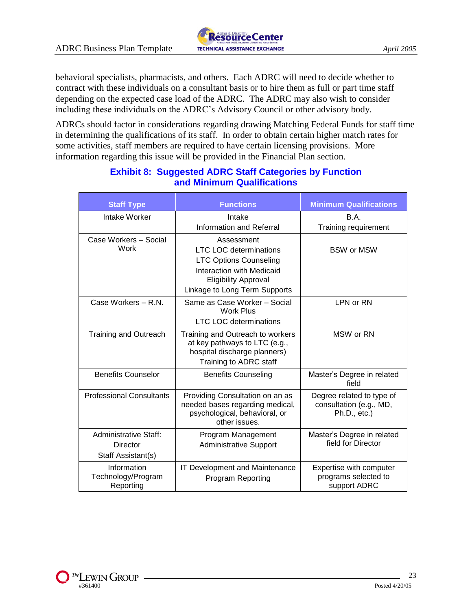

behavioral specialists, pharmacists, and others. Each ADRC will need to decide whether to contract with these individuals on a consultant basis or to hire them as full or part time staff depending on the expected case load of the ADRC. The ADRC may also wish to consider

including these individuals on the ADRC's Advisory Council or other advisory body.

ADRCs should factor in considerations regarding drawing Matching Federal Funds for staff time in determining the qualifications of its staff. In order to obtain certain higher match rates for some activities, staff members are required to have certain licensing provisions. More information regarding this issue will be provided in the Financial Plan section.

| <b>Staff Type</b>                                       | <b>Functions</b>                                                                                                                                                                 | <b>Minimum Qualifications</b>                                           |
|---------------------------------------------------------|----------------------------------------------------------------------------------------------------------------------------------------------------------------------------------|-------------------------------------------------------------------------|
| Intake Worker                                           | Intake<br>Information and Referral                                                                                                                                               | <b>B.A.</b><br>Training requirement                                     |
| Case Workers - Social<br>Work                           | Assessment<br><b>LTC LOC determinations</b><br><b>LTC Options Counseling</b><br><b>Interaction with Medicaid</b><br><b>Eligibility Approval</b><br>Linkage to Long Term Supports | <b>BSW or MSW</b>                                                       |
| Case Workers - R.N.                                     | Same as Case Worker - Social<br><b>Work Plus</b><br><b>LTC LOC determinations</b>                                                                                                | LPN or RN                                                               |
| <b>Training and Outreach</b>                            | Training and Outreach to workers<br>at key pathways to LTC (e.g.,<br>hospital discharge planners)<br>Training to ADRC staff                                                      | MSW or RN                                                               |
| <b>Benefits Counselor</b>                               | <b>Benefits Counseling</b>                                                                                                                                                       | Master's Degree in related<br>field                                     |
| <b>Professional Consultants</b>                         | Providing Consultation on an as<br>needed bases regarding medical,<br>psychological, behavioral, or<br>other issues.                                                             | Degree related to type of<br>consultation (e.g., MD,<br>$Ph.D., etc.$ ) |
| Administrative Staff:<br>Director<br>Staff Assistant(s) | Program Management<br><b>Administrative Support</b>                                                                                                                              | Master's Degree in related<br>field for Director                        |
| Information<br>Technology/Program<br>Reporting          | IT Development and Maintenance<br><b>Program Reporting</b>                                                                                                                       | Expertise with computer<br>programs selected to<br>support ADRC         |

## **Exhibit 8: Suggested ADRC Staff Categories by Function and Minimum Qualifications**

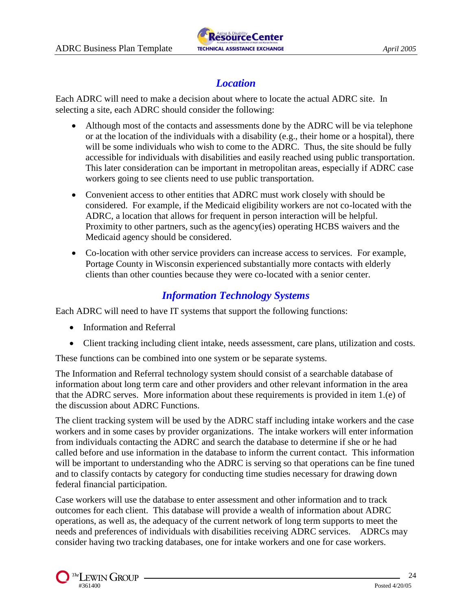

# *Location*

Each ADRC will need to make a decision about where to locate the actual ADRC site. In selecting a site, each ADRC should consider the following:

- Although most of the contacts and assessments done by the ADRC will be via telephone or at the location of the individuals with a disability (e.g., their home or a hospital), there will be some individuals who wish to come to the ADRC. Thus, the site should be fully accessible for individuals with disabilities and easily reached using public transportation. This later consideration can be important in metropolitan areas, especially if ADRC case workers going to see clients need to use public transportation.
- Convenient access to other entities that ADRC must work closely with should be considered. For example, if the Medicaid eligibility workers are not co-located with the ADRC, a location that allows for frequent in person interaction will be helpful. Proximity to other partners, such as the agency(ies) operating HCBS waivers and the Medicaid agency should be considered.
- Co-location with other service providers can increase access to services. For example, Portage County in Wisconsin experienced substantially more contacts with elderly clients than other counties because they were co-located with a senior center.

# *Information Technology Systems*

Each ADRC will need to have IT systems that support the following functions:

- Information and Referral
- Client tracking including client intake, needs assessment, care plans, utilization and costs.

These functions can be combined into one system or be separate systems.

The Information and Referral technology system should consist of a searchable database of information about long term care and other providers and other relevant information in the area that the ADRC serves. More information about these requirements is provided in item 1.(e) of the discussion about ADRC Functions.

The client tracking system will be used by the ADRC staff including intake workers and the case workers and in some cases by provider organizations. The intake workers will enter information from individuals contacting the ADRC and search the database to determine if she or he had called before and use information in the database to inform the current contact. This information will be important to understanding who the ADRC is serving so that operations can be fine tuned and to classify contacts by category for conducting time studies necessary for drawing down federal financial participation.

Case workers will use the database to enter assessment and other information and to track outcomes for each client. This database will provide a wealth of information about ADRC operations, as well as, the adequacy of the current network of long term supports to meet the needs and preferences of individuals with disabilities receiving ADRC services. ADRCs may consider having two tracking databases, one for intake workers and one for case workers.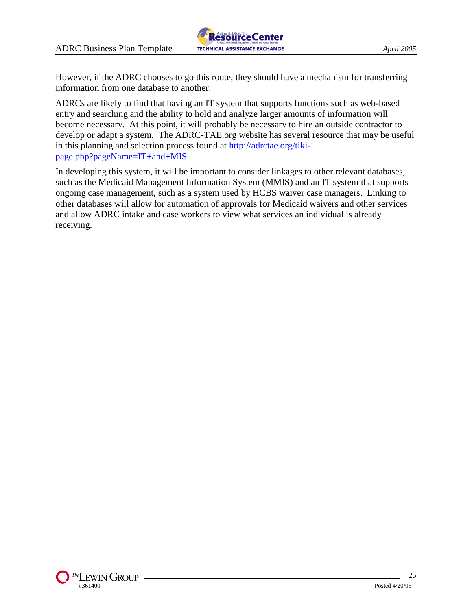

However, if the ADRC chooses to go this route, they should have a mechanism for transferring information from one database to another.

ADRCs are likely to find that having an IT system that supports functions such as web-based entry and searching and the ability to hold and analyze larger amounts of information will become necessary. At this point, it will probably be necessary to hire an outside contractor to develop or adapt a system. The ADRC-TAE.org website has several resource that may be useful in this planning and selection process found at [http://adrctae.org/tiki](http://adrctae.org/tiki-page.php?pageName=IT+and+MIS)[page.php?pageName=IT+and+MIS.](http://adrctae.org/tiki-page.php?pageName=IT+and+MIS)

In developing this system, it will be important to consider linkages to other relevant databases, such as the Medicaid Management Information System (MMIS) and an IT system that supports ongoing case management, such as a system used by HCBS waiver case managers. Linking to other databases will allow for automation of approvals for Medicaid waivers and other services and allow ADRC intake and case workers to view what services an individual is already receiving.

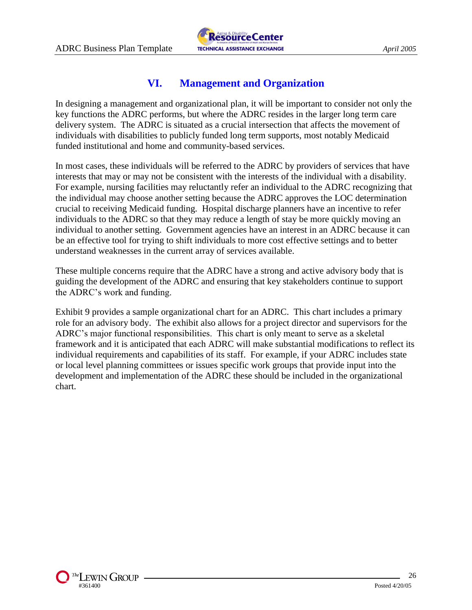

## **VI. Management and Organization**

In designing a management and organizational plan, it will be important to consider not only the key functions the ADRC performs, but where the ADRC resides in the larger long term care delivery system. The ADRC is situated as a crucial intersection that affects the movement of individuals with disabilities to publicly funded long term supports, most notably Medicaid funded institutional and home and community-based services.

In most cases, these individuals will be referred to the ADRC by providers of services that have interests that may or may not be consistent with the interests of the individual with a disability. For example, nursing facilities may reluctantly refer an individual to the ADRC recognizing that the individual may choose another setting because the ADRC approves the LOC determination crucial to receiving Medicaid funding. Hospital discharge planners have an incentive to refer individuals to the ADRC so that they may reduce a length of stay be more quickly moving an individual to another setting. Government agencies have an interest in an ADRC because it can be an effective tool for trying to shift individuals to more cost effective settings and to better understand weaknesses in the current array of services available.

These multiple concerns require that the ADRC have a strong and active advisory body that is guiding the development of the ADRC and ensuring that key stakeholders continue to support the ADRC's work and funding.

Exhibit 9 provides a sample organizational chart for an ADRC. This chart includes a primary role for an advisory body. The exhibit also allows for a project director and supervisors for the ADRC's major functional responsibilities. This chart is only meant to serve as a skeletal framework and it is anticipated that each ADRC will make substantial modifications to reflect its individual requirements and capabilities of its staff. For example, if your ADRC includes state or local level planning committees or issues specific work groups that provide input into the development and implementation of the ADRC these should be included in the organizational chart.

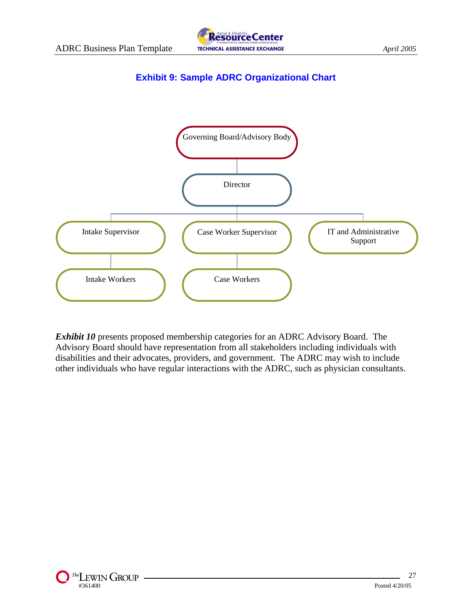

## **Exhibit 9: Sample ADRC Organizational Chart**



*Exhibit 10* presents proposed membership categories for an ADRC Advisory Board. The Advisory Board should have representation from all stakeholders including individuals with disabilities and their advocates, providers, and government. The ADRC may wish to include other individuals who have regular interactions with the ADRC, such as physician consultants.

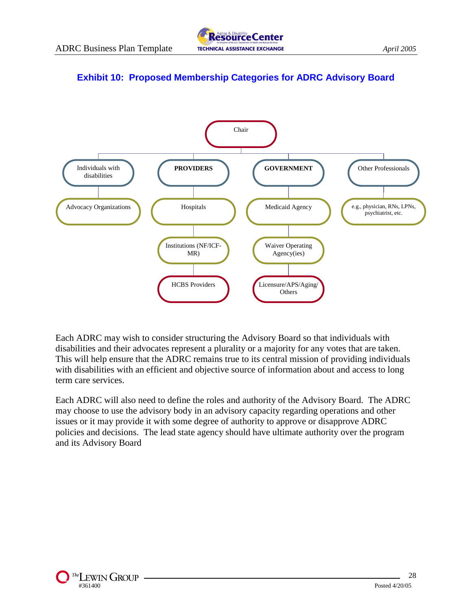## **Exhibit 10: Proposed Membership Categories for ADRC Advisory Board**



Each ADRC may wish to consider structuring the Advisory Board so that individuals with disabilities and their advocates represent a plurality or a majority for any votes that are taken. This will help ensure that the ADRC remains true to its central mission of providing individuals with disabilities with an efficient and objective source of information about and access to long term care services.

Each ADRC will also need to define the roles and authority of the Advisory Board. The ADRC may choose to use the advisory body in an advisory capacity regarding operations and other issues or it may provide it with some degree of authority to approve or disapprove ADRC policies and decisions. The lead state agency should have ultimate authority over the program and its Advisory Board

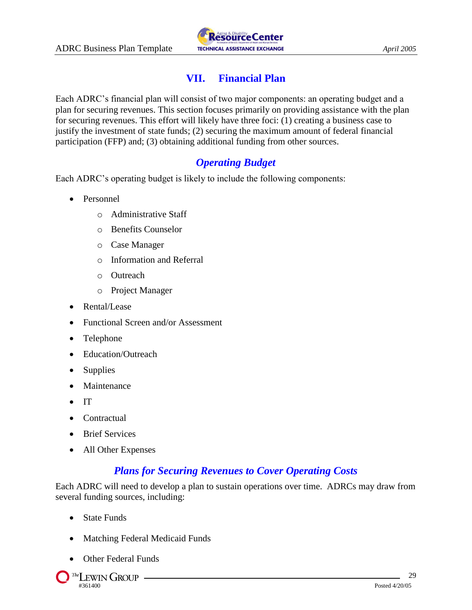

# **VII. Financial Plan**

Each ADRC's financial plan will consist of two major components: an operating budget and a plan for securing revenues. This section focuses primarily on providing assistance with the plan for securing revenues. This effort will likely have three foci: (1) creating a business case to justify the investment of state funds; (2) securing the maximum amount of federal financial participation (FFP) and; (3) obtaining additional funding from other sources.

## *Operating Budget*

Each ADRC's operating budget is likely to include the following components:

- Personnel
	- o Administrative Staff
	- o Benefits Counselor
	- o Case Manager
	- o Information and Referral
	- o Outreach
	- o Project Manager
- Rental/Lease
- Functional Screen and/or Assessment
- Telephone
- Education/Outreach
- Supplies
- Maintenance
- $\bullet$  IT
- Contractual
- Brief Services
- All Other Expenses

## *Plans for Securing Revenues to Cover Operating Costs*

Each ADRC will need to develop a plan to sustain operations over time. ADRCs may draw from several funding sources, including:

- State Funds
- Matching Federal Medicaid Funds
- Other Federal Funds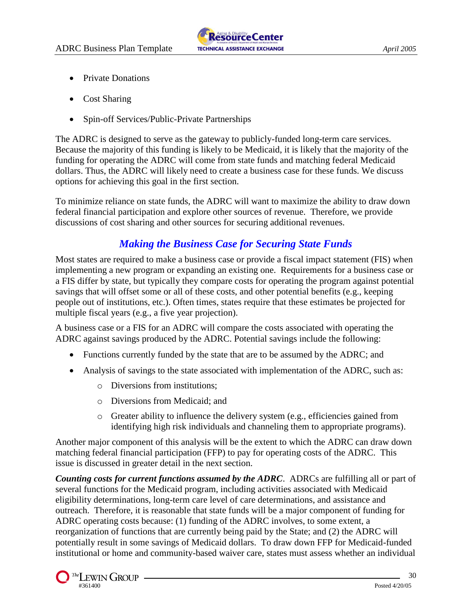- Private Donations
- Cost Sharing
- Spin-off Services/Public-Private Partnerships

The ADRC is designed to serve as the gateway to publicly-funded long-term care services. Because the majority of this funding is likely to be Medicaid, it is likely that the majority of the funding for operating the ADRC will come from state funds and matching federal Medicaid dollars. Thus, the ADRC will likely need to create a business case for these funds. We discuss options for achieving this goal in the first section.

To minimize reliance on state funds, the ADRC will want to maximize the ability to draw down federal financial participation and explore other sources of revenue. Therefore, we provide discussions of cost sharing and other sources for securing additional revenues.

## *Making the Business Case for Securing State Funds*

Most states are required to make a business case or provide a fiscal impact statement (FIS) when implementing a new program or expanding an existing one. Requirements for a business case or a FIS differ by state, but typically they compare costs for operating the program against potential savings that will offset some or all of these costs, and other potential benefits (e.g., keeping people out of institutions, etc.). Often times, states require that these estimates be projected for multiple fiscal years (e.g., a five year projection).

A business case or a FIS for an ADRC will compare the costs associated with operating the ADRC against savings produced by the ADRC. Potential savings include the following:

- Functions currently funded by the state that are to be assumed by the ADRC; and
- Analysis of savings to the state associated with implementation of the ADRC, such as:
	- o Diversions from institutions;
	- o Diversions from Medicaid; and
	- $\circ$  Greater ability to influence the delivery system (e.g., efficiencies gained from identifying high risk individuals and channeling them to appropriate programs).

Another major component of this analysis will be the extent to which the ADRC can draw down matching federal financial participation (FFP) to pay for operating costs of the ADRC. This issue is discussed in greater detail in the next section.

*Counting costs for current functions assumed by the ADRC*. ADRCs are fulfilling all or part of several functions for the Medicaid program, including activities associated with Medicaid eligibility determinations, long-term care level of care determinations, and assistance and outreach. Therefore, it is reasonable that state funds will be a major component of funding for ADRC operating costs because: (1) funding of the ADRC involves, to some extent, a reorganization of functions that are currently being paid by the State; and (2) the ADRC will potentially result in some savings of Medicaid dollars. To draw down FFP for Medicaid-funded institutional or home and community-based waiver care, states must assess whether an individual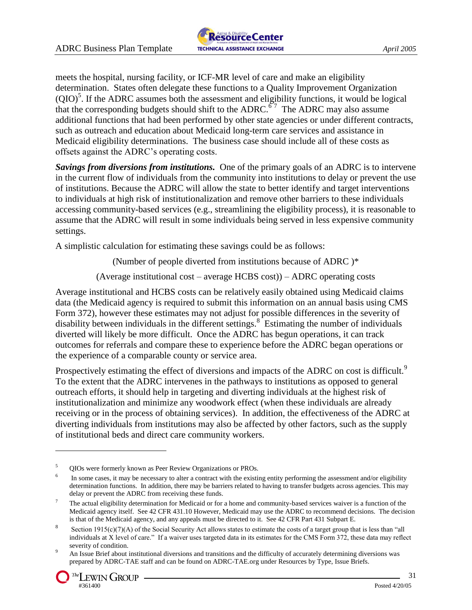

meets the hospital, nursing facility, or ICF-MR level of care and make an eligibility determination. States often delegate these functions to a Quality Improvement Organization  $(QIO)^5$ . If the ADRC assumes both the assessment and eligibility functions, it would be logical that the corresponding budgets should shift to the ADRC.<sup>67</sup> The ADRC may also assume additional functions that had been performed by other state agencies or under different contracts, such as outreach and education about Medicaid long-term care services and assistance in Medicaid eligibility determinations. The business case should include all of these costs as offsets against the ADRC's operating costs.

*Savings from diversions from institutions.* One of the primary goals of an ADRC is to intervene in the current flow of individuals from the community into institutions to delay or prevent the use of institutions. Because the ADRC will allow the state to better identify and target interventions to individuals at high risk of institutionalization and remove other barriers to these individuals accessing community-based services (e.g., streamlining the eligibility process), it is reasonable to assume that the ADRC will result in some individuals being served in less expensive community settings.

A simplistic calculation for estimating these savings could be as follows:

(Number of people diverted from institutions because of ADRC )\*

(Average institutional cost – average HCBS cost)) – ADRC operating costs

Average institutional and HCBS costs can be relatively easily obtained using Medicaid claims data (the Medicaid agency is required to submit this information on an annual basis using CMS Form 372), however these estimates may not adjust for possible differences in the severity of disability between individuals in the different settings. 8 Estimating the number of individuals diverted will likely be more difficult. Once the ADRC has begun operations, it can track outcomes for referrals and compare these to experience before the ADRC began operations or the experience of a comparable county or service area.

Prospectively estimating the effect of diversions and impacts of the ADRC on cost is difficult.<sup>9</sup> To the extent that the ADRC intervenes in the pathways to institutions as opposed to general outreach efforts, it should help in targeting and diverting individuals at the highest risk of institutionalization and minimize any woodwork effect (when these individuals are already receiving or in the process of obtaining services). In addition, the effectiveness of the ADRC at diverting individuals from institutions may also be affected by other factors, such as the supply of institutional beds and direct care community workers.

<sup>9</sup> An Issue Brief about institutional diversions and transitions and the difficulty of accurately determining diversions was prepared by ADRC-TAE staff and can be found on ADRC-TAE.org under Resources by Type, Issue Briefs.



<sup>&</sup>lt;sup>5</sup> QIOs were formerly known as Peer Review Organizations or PROs.

<sup>6</sup> In some cases, it may be necessary to alter a contract with the existing entity performing the assessment and/or eligibility determination functions. In addition, there may be barriers related to having to transfer budgets across agencies. This may delay or prevent the ADRC from receiving these funds.

 $<sup>7</sup>$  The actual eligibility determination for Medicaid or for a home and community-based services waiver is a function of the</sup> Medicaid agency itself. See 42 CFR 431.10 However, Medicaid may use the ADRC to recommend decisions. The decision is that of the Medicaid agency, and any appeals must be directed to it. See 42 CFR Part 431 Subpart E.

<sup>8</sup> Section 1915(c)(7)(A) of the Social Security Act allows states to estimate the costs of a target group that is less than "all individuals at X level of care." If a waiver uses targeted data in its estimates for the CMS Form 372, these data may reflect severity of condition.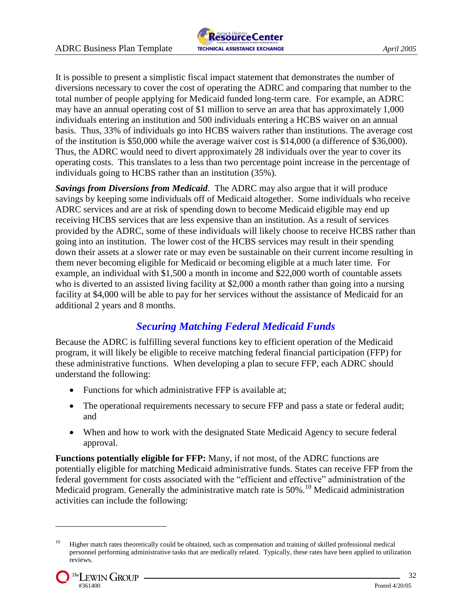

It is possible to present a simplistic fiscal impact statement that demonstrates the number of diversions necessary to cover the cost of operating the ADRC and comparing that number to the total number of people applying for Medicaid funded long-term care. For example, an ADRC may have an annual operating cost of \$1 million to serve an area that has approximately 1,000 individuals entering an institution and 500 individuals entering a HCBS waiver on an annual basis. Thus, 33% of individuals go into HCBS waivers rather than institutions. The average cost of the institution is \$50,000 while the average waiver cost is \$14,000 (a difference of \$36,000). Thus, the ADRC would need to divert approximately 28 individuals over the year to cover its operating costs. This translates to a less than two percentage point increase in the percentage of individuals going to HCBS rather than an institution (35%).

*Savings from Diversions from Medicaid*. The ADRC may also argue that it will produce savings by keeping some individuals off of Medicaid altogether. Some individuals who receive ADRC services and are at risk of spending down to become Medicaid eligible may end up receiving HCBS services that are less expensive than an institution. As a result of services provided by the ADRC, some of these individuals will likely choose to receive HCBS rather than going into an institution. The lower cost of the HCBS services may result in their spending down their assets at a slower rate or may even be sustainable on their current income resulting in them never becoming eligible for Medicaid or becoming eligible at a much later time. For example, an individual with \$1,500 a month in income and \$22,000 worth of countable assets who is diverted to an assisted living facility at \$2,000 a month rather than going into a nursing facility at \$4,000 will be able to pay for her services without the assistance of Medicaid for an additional 2 years and 8 months.

## *Securing Matching Federal Medicaid Funds*

Because the ADRC is fulfilling several functions key to efficient operation of the Medicaid program, it will likely be eligible to receive matching federal financial participation (FFP) for these administrative functions. When developing a plan to secure FFP, each ADRC should understand the following:

- Functions for which administrative FFP is available at;
- The operational requirements necessary to secure FFP and pass a state or federal audit; and
- When and how to work with the designated State Medicaid Agency to secure federal approval.

**Functions potentially eligible for FFP:** Many, if not most, of the ADRC functions are potentially eligible for matching Medicaid administrative funds. States can receive FFP from the federal government for costs associated with the "efficient and effective" administration of the Medicaid program. Generally the administrative match rate is 50%.<sup>10</sup> Medicaid administration activities can include the following:

<sup>&</sup>lt;sup>10</sup> Higher match rates theoretically could be obtained, such as compensation and training of skilled professional medical personnel performing administrative tasks that are medically related. Typically, these rates have been applied to utilization reviews.

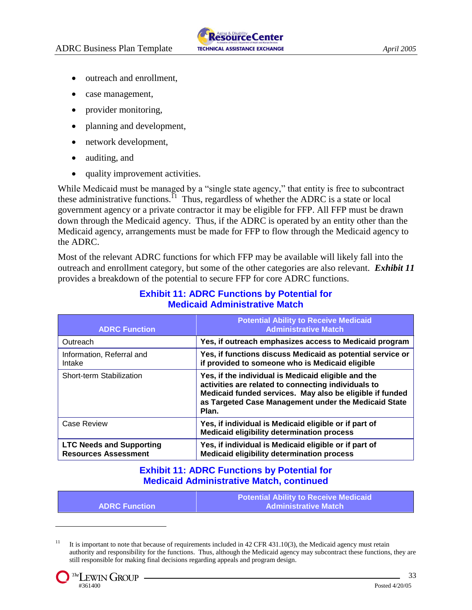- outreach and enrollment,
- case management,
- provider monitoring,
- planning and development,
- network development,
- auditing, and
- quality improvement activities.

While Medicaid must be managed by a "single state agency," that entity is free to subcontract these administrative functions.<sup>11</sup> Thus, regardless of whether the ADRC is a state or local government agency or a private contractor it may be eligible for FFP. All FFP must be drawn down through the Medicaid agency. Thus, if the ADRC is operated by an entity other than the Medicaid agency, arrangements must be made for FFP to flow through the Medicaid agency to the ADRC.

Most of the relevant ADRC functions for which FFP may be available will likely fall into the outreach and enrollment category, but some of the other categories are also relevant. *Exhibit 11* provides a breakdown of the potential to secure FFP for core ADRC functions.

| <b>ADRC Function</b>                                           | <b>Potential Ability to Receive Medicaid</b><br><b>Administrative Match</b>                                                                                                                                                             |
|----------------------------------------------------------------|-----------------------------------------------------------------------------------------------------------------------------------------------------------------------------------------------------------------------------------------|
| Outreach                                                       | Yes, if outreach emphasizes access to Medicaid program                                                                                                                                                                                  |
| Information, Referral and<br>Intake                            | Yes, if functions discuss Medicaid as potential service or<br>if provided to someone who is Medicaid eligible                                                                                                                           |
| Short-term Stabilization                                       | Yes, if the individual is Medicaid eligible and the<br>activities are related to connecting individuals to<br>Medicaid funded services. May also be eligible if funded<br>as Targeted Case Management under the Medicaid State<br>Plan. |
| Case Review                                                    | Yes, if individual is Medicaid eligible or if part of<br><b>Medicaid eligibility determination process</b>                                                                                                                              |
| <b>LTC Needs and Supporting</b><br><b>Resources Assessment</b> | Yes, if individual is Medicaid eligible or if part of<br><b>Medicaid eligibility determination process</b>                                                                                                                              |

### **Exhibit 11: ADRC Functions by Potential for Medicaid Administrative Match**

## **Exhibit 11: ADRC Functions by Potential for Medicaid Administrative Match, continued**

|                        | <b>Potential Ability to Receive Medicaid</b> |
|------------------------|----------------------------------------------|
| <b>ADRC Function /</b> | <b>Administrative Match</b>                  |

<sup>&</sup>lt;sup>11</sup> It is important to note that because of requirements included in 42 CFR 431.10(3), the Medicaid agency must retain authority and responsibility for the functions. Thus, although the Medicaid agency may subcontract these functions, they are still responsible for making final decisions regarding appeals and program design.

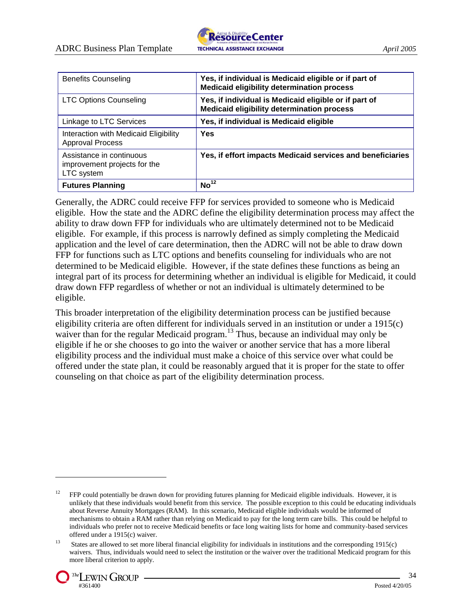

| <b>Benefits Counseling</b>                                             | Yes, if individual is Medicaid eligible or if part of<br><b>Medicaid eligibility determination process</b> |
|------------------------------------------------------------------------|------------------------------------------------------------------------------------------------------------|
| <b>LTC Options Counseling</b>                                          | Yes, if individual is Medicaid eligible or if part of<br><b>Medicaid eligibility determination process</b> |
| Linkage to LTC Services                                                | Yes, if individual is Medicaid eligible                                                                    |
| Interaction with Medicaid Eligibility<br><b>Approval Process</b>       | Yes                                                                                                        |
| Assistance in continuous<br>improvement projects for the<br>LTC system | Yes, if effort impacts Medicaid services and beneficiaries                                                 |
| <b>Futures Planning</b>                                                | No <sup>12</sup>                                                                                           |

Generally, the ADRC could receive FFP for services provided to someone who is Medicaid eligible. How the state and the ADRC define the eligibility determination process may affect the ability to draw down FFP for individuals who are ultimately determined not to be Medicaid eligible. For example, if this process is narrowly defined as simply completing the Medicaid application and the level of care determination, then the ADRC will not be able to draw down FFP for functions such as LTC options and benefits counseling for individuals who are not determined to be Medicaid eligible. However, if the state defines these functions as being an integral part of its process for determining whether an individual is eligible for Medicaid, it could draw down FFP regardless of whether or not an individual is ultimately determined to be eligible.

This broader interpretation of the eligibility determination process can be justified because eligibility criteria are often different for individuals served in an institution or under a 1915(c) waiver than for the regular Medicaid program.<sup>13</sup> Thus, because an individual may only be eligible if he or she chooses to go into the waiver or another service that has a more liberal eligibility process and the individual must make a choice of this service over what could be offered under the state plan, it could be reasonably argued that it is proper for the state to offer counseling on that choice as part of the eligibility determination process.

<sup>&</sup>lt;sup>13</sup> States are allowed to set more liberal financial eligibility for individuals in institutions and the corresponding 1915(c) waivers. Thus, individuals would need to select the institution or the waiver over the traditional Medicaid program for this more liberal criterion to apply.



<sup>&</sup>lt;sup>12</sup> FFP could potentially be drawn down for providing futures planning for Medicaid eligible individuals. However, it is unlikely that these individuals would benefit from this service. The possible exception to this could be educating individuals about Reverse Annuity Mortgages (RAM). In this scenario, Medicaid eligible individuals would be informed of mechanisms to obtain a RAM rather than relying on Medicaid to pay for the long term care bills. This could be helpful to individuals who prefer not to receive Medicaid benefits or face long waiting lists for home and community-based services offered under a 1915(c) waiver.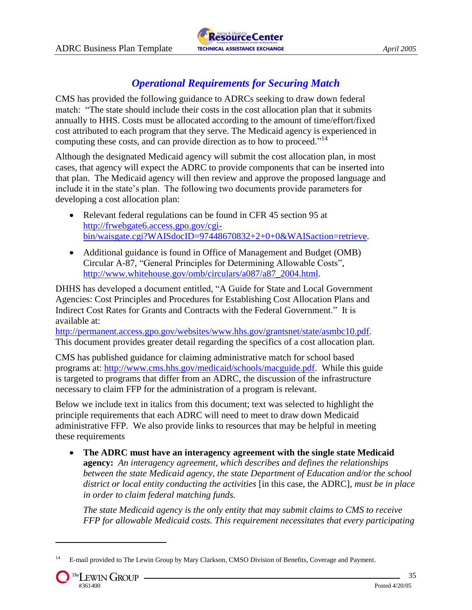

# *Operational Requirements for Securing Match*

CMS has provided the following guidance to ADRCs seeking to draw down federal match: "The state should include their costs in the cost allocation plan that it submits annually to HHS. Costs must be allocated according to the amount of time/effort/fixed cost attributed to each program that they serve. The Medicaid agency is experienced in computing these costs, and can provide direction as to how to proceed."<sup>14</sup>

Although the designated Medicaid agency will submit the cost allocation plan, in most cases, that agency will expect the ADRC to provide components that can be inserted into that plan. The Medicaid agency will then review and approve the proposed language and include it in the state's plan. The following two documents provide parameters for developing a cost allocation plan:

- Relevant federal regulations can be found in CFR 45 section 95 at [http://frwebgate6.access.gpo.gov/cgi](http://frwebgate6.access.gpo.gov/cgi-bin/waisgate.cgi?WAISdocID=97448670832+2+0+0&WAISaction=retrieve)[bin/waisgate.cgi?WAISdocID=97448670832+2+0+0&WAISaction=retrieve.](http://frwebgate6.access.gpo.gov/cgi-bin/waisgate.cgi?WAISdocID=97448670832+2+0+0&WAISaction=retrieve)
- Additional guidance is found in Office of Management and Budget (OMB) Circular A-87, "General Principles for Determining Allowable Costs", [http://www.whitehouse.gov/omb/circulars/a087/a87\\_2004.html.](http://www.whitehouse.gov/omb/circulars/a087/a87_2004.html)

DHHS has developed a document entitled, "A Guide for State and Local Government Agencies: Cost Principles and Procedures for Establishing Cost Allocation Plans and Indirect Cost Rates for Grants and Contracts with the Federal Government." It is available at:

[http://permanent.access.gpo.gov/websites/www.hhs.gov/grantsnet/state/asmbc10.pdf.](http://permanent.access.gpo.gov/websites/www.hhs.gov/grantsnet/state/asmbc10.pdf) This document provides greater detail regarding the specifics of a cost allocation plan.

CMS has published guidance for claiming administrative match for school based programs at: [http://www.cms.hhs.gov/medicaid/schools/macguide.pdf.](http://www.cms.hhs.gov/medicaid/schools/macguide.pdf) While this guide is targeted to programs that differ from an ADRC, the discussion of the infrastructure necessary to claim FFP for the administration of a program is relevant.

Below we include text in italics from this document; text was selected to highlight the principle requirements that each ADRC will need to meet to draw down Medicaid administrative FFP. We also provide links to resources that may be helpful in meeting these requirements

 **The ADRC must have an interagency agreement with the single state Medicaid agency:** *An interagency agreement, which describes and defines the relationships between the state Medicaid agency, the state Department of Education and/or the school district or local entity conducting the activities* [in this case, the ADRC]*, must be in place in order to claim federal matching funds.* 

*The state Medicaid agency is the only entity that may submit claims to CMS to receive FFP for allowable Medicaid costs. This requirement necessitates that every participating* 

<sup>&</sup>lt;sup>14</sup> E-mail provided to The Lewin Group by Mary Clarkson, CMSO Division of Benefits, Coverage and Payment.

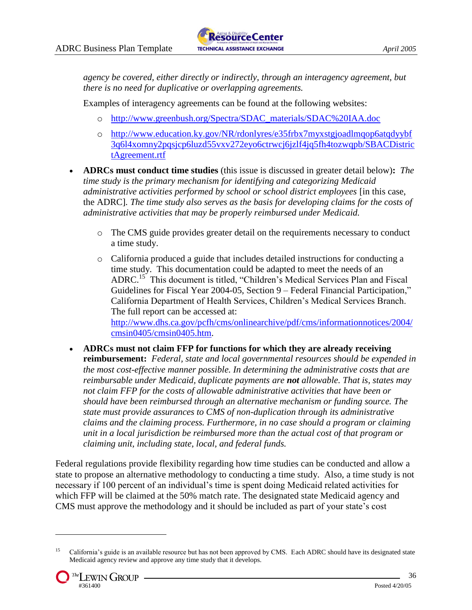*agency be covered, either directly or indirectly, through an interagency agreement, but there is no need for duplicative or overlapping agreements.* 

Examples of interagency agreements can be found at the following websites:

- o [http://www.greenbush.org/Spectra/SDAC\\_materials/SDAC%20IAA.doc](http://www.greenbush.org/Spectra/SDAC_materials/SDAC%20IAA.doc)
- o [http://www.education.ky.gov/NR/rdonlyres/e35frbx7myxstgjoadlmqop6atqdyybf](http://www.education.ky.gov/NR/rdonlyres/e35frbx7myxstgjoadlmqop6atqdyybf3q6l4xomny2pqsjcp6luzd55vxv272eyo6ctrwcj6jzlf4jq5fh4tozwqpb/SBACDistrictAgreement.rtf) [3q6l4xomny2pqsjcp6luzd55vxv272eyo6ctrwcj6jzlf4jq5fh4tozwqpb/SBACDistric](http://www.education.ky.gov/NR/rdonlyres/e35frbx7myxstgjoadlmqop6atqdyybf3q6l4xomny2pqsjcp6luzd55vxv272eyo6ctrwcj6jzlf4jq5fh4tozwqpb/SBACDistrictAgreement.rtf) [tAgreement.rtf](http://www.education.ky.gov/NR/rdonlyres/e35frbx7myxstgjoadlmqop6atqdyybf3q6l4xomny2pqsjcp6luzd55vxv272eyo6ctrwcj6jzlf4jq5fh4tozwqpb/SBACDistrictAgreement.rtf)
- **ADRCs must conduct time studies** (this issue is discussed in greater detail below)**:** *The time study is the primary mechanism for identifying and categorizing Medicaid administrative activities performed by school or school district employees* [in this case, the ADRC]*. The time study also serves as the basis for developing claims for the costs of administrative activities that may be properly reimbursed under Medicaid.* 
	- o The CMS guide provides greater detail on the requirements necessary to conduct a time study.
	- o California produced a guide that includes detailed instructions for conducting a time study. This documentation could be adapted to meet the needs of an ADRC.<sup>15</sup> This document is titled, "Children's Medical Services Plan and Fiscal Guidelines for Fiscal Year 2004-05, Section 9 – Federal Financial Participation," California Department of Health Services, Children's Medical Services Branch. The full report can be accessed at: [http://www.dhs.ca.gov/pcfh/cms/onlinearchive/pdf/cms/informationnotices/2004/](http://www.dhs.ca.gov/pcfh/cms/onlinearchive/pdf/cms/informationnotices/2004/cmsin0405/cmsin0405.htm) [cmsin0405/cmsin0405.htm.](http://www.dhs.ca.gov/pcfh/cms/onlinearchive/pdf/cms/informationnotices/2004/cmsin0405/cmsin0405.htm)
- **ADRCs must not claim FFP for functions for which they are already receiving reimbursement:** *Federal, state and local governmental resources should be expended in the most cost-effective manner possible. In determining the administrative costs that are reimbursable under Medicaid, duplicate payments are not allowable. That is, states may not claim FFP for the costs of allowable administrative activities that have been or should have been reimbursed through an alternative mechanism or funding source. The state must provide assurances to CMS of non-duplication through its administrative claims and the claiming process. Furthermore, in no case should a program or claiming unit in a local jurisdiction be reimbursed more than the actual cost of that program or claiming unit, including state, local, and federal funds.*

Federal regulations provide flexibility regarding how time studies can be conducted and allow a state to propose an alternative methodology to conducting a time study. Also, a time study is not necessary if 100 percent of an individual's time is spent doing Medicaid related activities for which FFP will be claimed at the 50% match rate. The designated state Medicaid agency and CMS must approve the methodology and it should be included as part of your state's cost

<sup>&</sup>lt;sup>15</sup> California's guide is an available resource but has not been approved by CMS. Each ADRC should have its designated state Medicaid agency review and approve any time study that it develops.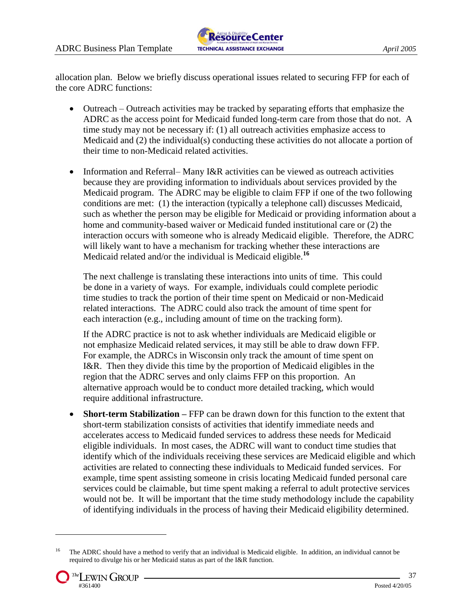

allocation plan. Below we briefly discuss operational issues related to securing FFP for each of the core ADRC functions:

- Outreach Outreach activities may be tracked by separating efforts that emphasize the ADRC as the access point for Medicaid funded long-term care from those that do not. A time study may not be necessary if: (1) all outreach activities emphasize access to Medicaid and (2) the individual(s) conducting these activities do not allocate a portion of their time to non-Medicaid related activities.
- Information and Referral– Many I&R activities can be viewed as outreach activities because they are providing information to individuals about services provided by the Medicaid program. The ADRC may be eligible to claim FFP if one of the two following conditions are met: (1) the interaction (typically a telephone call) discusses Medicaid, such as whether the person may be eligible for Medicaid or providing information about a home and community-based waiver or Medicaid funded institutional care or (2) the interaction occurs with someone who is already Medicaid eligible. Therefore, the ADRC will likely want to have a mechanism for tracking whether these interactions are Medicaid related and/or the individual is Medicaid eligible.**<sup>16</sup>**

The next challenge is translating these interactions into units of time. This could be done in a variety of ways. For example, individuals could complete periodic time studies to track the portion of their time spent on Medicaid or non-Medicaid related interactions. The ADRC could also track the amount of time spent for each interaction (e.g., including amount of time on the tracking form).

If the ADRC practice is not to ask whether individuals are Medicaid eligible or not emphasize Medicaid related services, it may still be able to draw down FFP. For example, the ADRCs in Wisconsin only track the amount of time spent on I&R. Then they divide this time by the proportion of Medicaid eligibles in the region that the ADRC serves and only claims FFP on this proportion. An alternative approach would be to conduct more detailed tracking, which would require additional infrastructure.

• **Short-term Stabilization** – FFP can be drawn down for this function to the extent that short-term stabilization consists of activities that identify immediate needs and accelerates access to Medicaid funded services to address these needs for Medicaid eligible individuals. In most cases, the ADRC will want to conduct time studies that identify which of the individuals receiving these services are Medicaid eligible and which activities are related to connecting these individuals to Medicaid funded services. For example, time spent assisting someone in crisis locating Medicaid funded personal care services could be claimable, but time spent making a referral to adult protective services would not be. It will be important that the time study methodology include the capability of identifying individuals in the process of having their Medicaid eligibility determined.

<sup>&</sup>lt;sup>16</sup> The ADRC should have a method to verify that an individual is Medicaid eligible. In addition, an individual cannot be required to divulge his or her Medicaid status as part of the I&R function.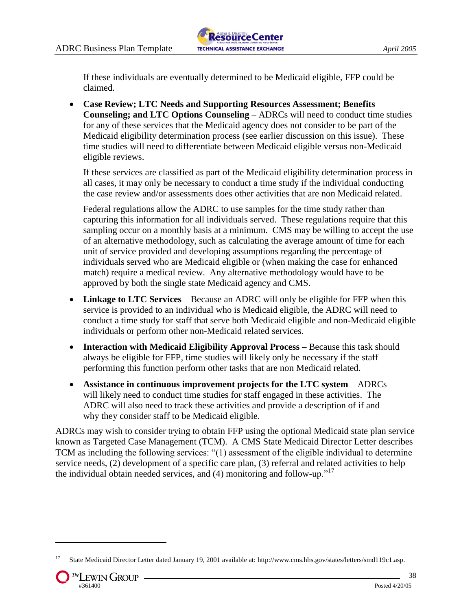If these individuals are eventually determined to be Medicaid eligible, FFP could be claimed.

 **Case Review; LTC Needs and Supporting Resources Assessment; Benefits Counseling; and LTC Options Counseling** – ADRCs will need to conduct time studies for any of these services that the Medicaid agency does not consider to be part of the Medicaid eligibility determination process (see earlier discussion on this issue). These time studies will need to differentiate between Medicaid eligible versus non-Medicaid eligible reviews.

If these services are classified as part of the Medicaid eligibility determination process in all cases, it may only be necessary to conduct a time study if the individual conducting the case review and/or assessments does other activities that are non Medicaid related.

Federal regulations allow the ADRC to use samples for the time study rather than capturing this information for all individuals served. These regulations require that this sampling occur on a monthly basis at a minimum. CMS may be willing to accept the use of an alternative methodology, such as calculating the average amount of time for each unit of service provided and developing assumptions regarding the percentage of individuals served who are Medicaid eligible or (when making the case for enhanced match) require a medical review. Any alternative methodology would have to be approved by both the single state Medicaid agency and CMS.

- **Linkage to LTC Services** Because an ADRC will only be eligible for FFP when this service is provided to an individual who is Medicaid eligible, the ADRC will need to conduct a time study for staff that serve both Medicaid eligible and non-Medicaid eligible individuals or perform other non-Medicaid related services.
- **Interaction with Medicaid Eligibility Approval Process –** Because this task should always be eligible for FFP, time studies will likely only be necessary if the staff performing this function perform other tasks that are non Medicaid related.
- **Assistance in continuous improvement projects for the LTC system** ADRCs will likely need to conduct time studies for staff engaged in these activities. The ADRC will also need to track these activities and provide a description of if and why they consider staff to be Medicaid eligible.

ADRCs may wish to consider trying to obtain FFP using the optional Medicaid state plan service known as Targeted Case Management (TCM). A CMS State Medicaid Director Letter describes TCM as including the following services: "(1) assessment of the eligible individual to determine service needs, (2) development of a specific care plan, (3) referral and related activities to help the individual obtain needed services, and  $(4)$  monitoring and follow-up.<sup> $17$ </sup>

<sup>17</sup> State Medicaid Director Letter dated January 19, 2001 available at: http://www.cms.hhs.gov/states/letters/smd119c1.asp.

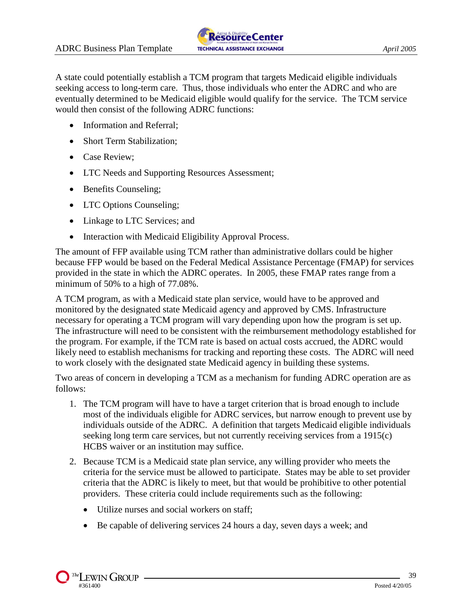

A state could potentially establish a TCM program that targets Medicaid eligible individuals seeking access to long-term care. Thus, those individuals who enter the ADRC and who are eventually determined to be Medicaid eligible would qualify for the service. The TCM service would then consist of the following ADRC functions:

- Information and Referral;
- Short Term Stabilization;
- Case Review:
- LTC Needs and Supporting Resources Assessment;
- Benefits Counseling;
- LTC Options Counseling;
- Linkage to LTC Services; and
- Interaction with Medicaid Eligibility Approval Process.

The amount of FFP available using TCM rather than administrative dollars could be higher because FFP would be based on the Federal Medical Assistance Percentage (FMAP) for services provided in the state in which the ADRC operates. In 2005, these FMAP rates range from a minimum of 50% to a high of 77.08%.

A TCM program, as with a Medicaid state plan service, would have to be approved and monitored by the designated state Medicaid agency and approved by CMS. Infrastructure necessary for operating a TCM program will vary depending upon how the program is set up. The infrastructure will need to be consistent with the reimbursement methodology established for the program. For example, if the TCM rate is based on actual costs accrued, the ADRC would likely need to establish mechanisms for tracking and reporting these costs. The ADRC will need to work closely with the designated state Medicaid agency in building these systems.

Two areas of concern in developing a TCM as a mechanism for funding ADRC operation are as follows:

- 1. The TCM program will have to have a target criterion that is broad enough to include most of the individuals eligible for ADRC services, but narrow enough to prevent use by individuals outside of the ADRC. A definition that targets Medicaid eligible individuals seeking long term care services, but not currently receiving services from a 1915(c) HCBS waiver or an institution may suffice.
- 2. Because TCM is a Medicaid state plan service, any willing provider who meets the criteria for the service must be allowed to participate. States may be able to set provider criteria that the ADRC is likely to meet, but that would be prohibitive to other potential providers. These criteria could include requirements such as the following:
	- Utilize nurses and social workers on staff;
	- Be capable of delivering services 24 hours a day, seven days a week; and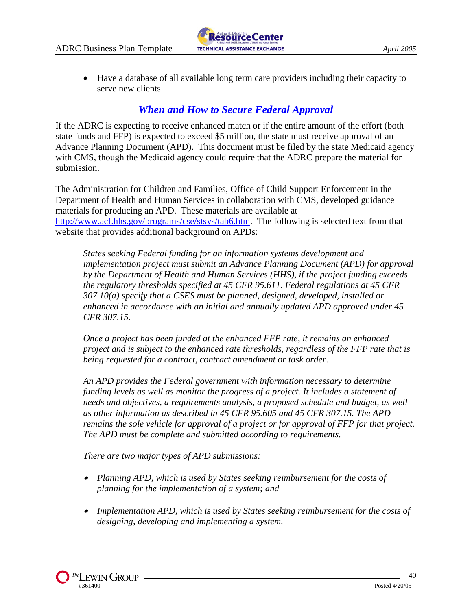Have a database of all available long term care providers including their capacity to serve new clients.

# *When and How to Secure Federal Approval*

If the ADRC is expecting to receive enhanced match or if the entire amount of the effort (both state funds and FFP) is expected to exceed \$5 million, the state must receive approval of an Advance Planning Document (APD). This document must be filed by the state Medicaid agency with CMS, though the Medicaid agency could require that the ADRC prepare the material for submission.

The Administration for Children and Families, Office of Child Support Enforcement in the Department of Health and Human Services in collaboration with CMS, developed guidance materials for producing an APD. These materials are available at [http://www.acf.hhs.gov/programs/cse/stsys/tab6.htm.](http://www.acf.hhs.gov/programs/cse/stsys/tab6.htm) The following is selected text from that website that provides additional background on APDs:

*States seeking Federal funding for an information systems development and implementation project must submit an Advance Planning Document (APD) for approval by the Department of Health and Human Services (HHS), if the project funding exceeds the regulatory thresholds specified at 45 CFR 95.611. Federal regulations at 45 CFR 307.10(a) specify that a CSES must be planned, designed, developed, installed or enhanced in accordance with an initial and annually updated APD approved under 45 CFR 307.15.*

*Once a project has been funded at the enhanced FFP rate, it remains an enhanced project and is subject to the enhanced rate thresholds, regardless of the FFP rate that is being requested for a contract, contract amendment or task order.*

*An APD provides the Federal government with information necessary to determine funding levels as well as monitor the progress of a project. It includes a statement of needs and objectives, a requirements analysis, a proposed schedule and budget, as well as other information as described in 45 CFR 95.605 and 45 CFR 307.15. The APD remains the sole vehicle for approval of a project or for approval of FFP for that project. The APD must be complete and submitted according to requirements.* 

*There are two major types of APD submissions:* 

- *Planning APD, which is used by States seeking reimbursement for the costs of planning for the implementation of a system; and*
- *Implementation APD, which is used by States seeking reimbursement for the costs of designing, developing and implementing a system.*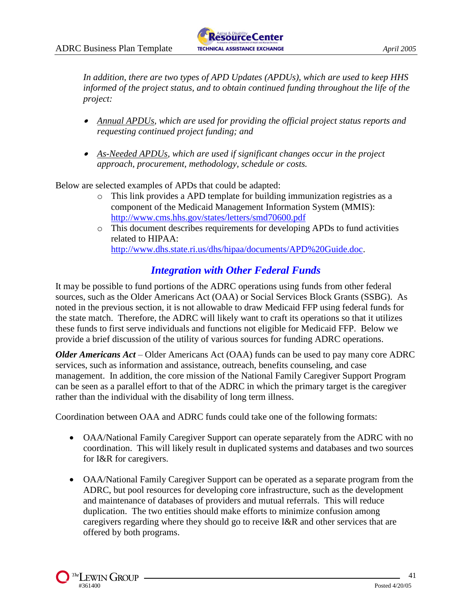

*In addition, there are two types of APD Updates (APDUs), which are used to keep HHS informed of the project status, and to obtain continued funding throughout the life of the project:* 

- *Annual APDUs, which are used for providing the official project status reports and requesting continued project funding; and*
- *As-Needed APDUs, which are used if significant changes occur in the project approach, procurement, methodology, schedule or costs.*

Below are selected examples of APDs that could be adapted:

- o This link provides a APD template for building immunization registries as a component of the Medicaid Management Information System (MMIS): <http://www.cms.hhs.gov/states/letters/smd70600.pdf>
- o This document describes requirements for developing APDs to fund activities related to HIPAA: [http://www.dhs.state.ri.us/dhs/hipaa/documents/APD%20Guide.doc.](http://www.dhs.state.ri.us/dhs/hipaa/documents/APD%20Guide.doc)

## *Integration with Other Federal Funds*

It may be possible to fund portions of the ADRC operations using funds from other federal sources, such as the Older Americans Act (OAA) or Social Services Block Grants (SSBG). As noted in the previous section, it is not allowable to draw Medicaid FFP using federal funds for the state match. Therefore, the ADRC will likely want to craft its operations so that it utilizes these funds to first serve individuals and functions not eligible for Medicaid FFP. Below we provide a brief discussion of the utility of various sources for funding ADRC operations.

*Older Americans Act* – Older Americans Act (OAA) funds can be used to pay many core ADRC services, such as information and assistance, outreach, benefits counseling, and case management. In addition, the core mission of the National Family Caregiver Support Program can be seen as a parallel effort to that of the ADRC in which the primary target is the caregiver rather than the individual with the disability of long term illness.

Coordination between OAA and ADRC funds could take one of the following formats:

- OAA/National Family Caregiver Support can operate separately from the ADRC with no coordination. This will likely result in duplicated systems and databases and two sources for I&R for caregivers.
- OAA/National Family Caregiver Support can be operated as a separate program from the ADRC, but pool resources for developing core infrastructure, such as the development and maintenance of databases of providers and mutual referrals. This will reduce duplication. The two entities should make efforts to minimize confusion among caregivers regarding where they should go to receive I&R and other services that are offered by both programs.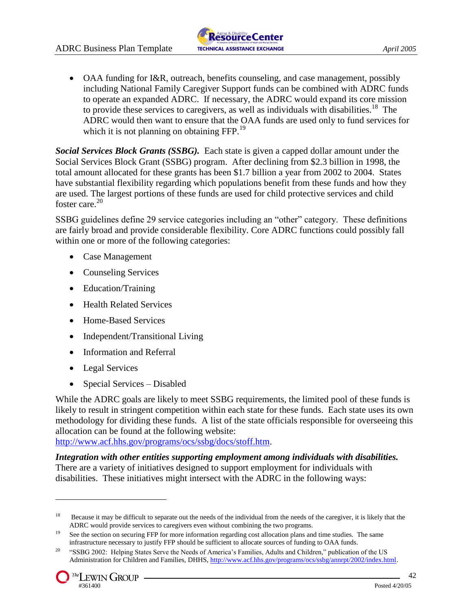

• OAA funding for I&R, outreach, benefits counseling, and case management, possibly including National Family Caregiver Support funds can be combined with ADRC funds to operate an expanded ADRC. If necessary, the ADRC would expand its core mission to provide these services to caregivers, as well as individuals with disabilities.<sup>18</sup> The ADRC would then want to ensure that the OAA funds are used only to fund services for which it is not planning on obtaining FFP.<sup>19</sup>

*Social Services Block Grants (SSBG).* Each state is given a capped dollar amount under the Social Services Block Grant (SSBG) program. After declining from \$2.3 billion in 1998, the total amount allocated for these grants has been \$1.7 billion a year from 2002 to 2004. States have substantial flexibility regarding which populations benefit from these funds and how they are used. The largest portions of these funds are used for child protective services and child foster care.<sup>20</sup>

SSBG guidelines define 29 service categories including an "other" category. These definitions are fairly broad and provide considerable flexibility. Core ADRC functions could possibly fall within one or more of the following categories:

- Case Management
- Counseling Services
- Education/Training
- Health Related Services
- Home-Based Services
- Independent/Transitional Living
- Information and Referral
- Legal Services
- Special Services Disabled

While the ADRC goals are likely to meet SSBG requirements, the limited pool of these funds is likely to result in stringent competition within each state for these funds. Each state uses its own methodology for dividing these funds. A list of the state officials responsible for overseeing this allocation can be found at the following website:

[http://www.acf.hhs.gov/programs/ocs/ssbg/docs/stoff.htm.](http://www.acf.hhs.gov/programs/ocs/ssbg/docs/stoff.htm)

*Integration with other entities supporting employment among individuals with disabilities.*  There are a variety of initiatives designed to support employment for individuals with disabilities. These initiatives might intersect with the ADRC in the following ways:

<sup>&</sup>lt;sup>18</sup> Because it may be difficult to separate out the needs of the individual from the needs of the caregiver, it is likely that the ADRC would provide services to caregivers even without combining the two programs.

<sup>19</sup> See the section on securing FFP for more information regarding cost allocation plans and time studies. The same infrastructure necessary to justify FFP should be sufficient to allocate sources of funding to OAA funds.

<sup>&</sup>lt;sup>20</sup> "SSBG 2002: Helping States Serve the Needs of America's Families, Adults and Children," publication of the US Administration for Children and Families, DHHS, http://www.acf.hhs.gov/programs/ocs/ssbg/annrpt/2002/index.html.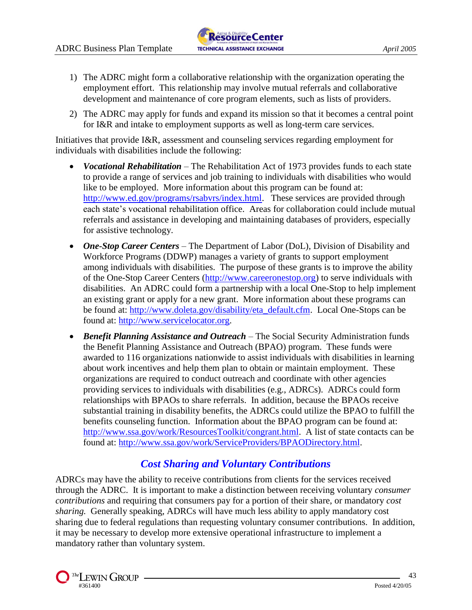- 1) The ADRC might form a collaborative relationship with the organization operating the employment effort. This relationship may involve mutual referrals and collaborative development and maintenance of core program elements, such as lists of providers.
- 2) The ADRC may apply for funds and expand its mission so that it becomes a central point for I&R and intake to employment supports as well as long-term care services.

Initiatives that provide I&R, assessment and counseling services regarding employment for individuals with disabilities include the following:

- *Vocational Rehabilitation* The Rehabilitation Act of 1973 provides funds to each state to provide a range of services and job training to individuals with disabilities who would like to be employed. More information about this program can be found at: [http://www.ed.gov/programs/rsabvrs/index.html.](http://www.ed.gov/programs/rsabvrs/index.html) These services are provided through each state's vocational rehabilitation office. Areas for collaboration could include mutual referrals and assistance in developing and maintaining databases of providers, especially for assistive technology.
- *One-Stop Career Centers* The Department of Labor (DoL), Division of Disability and Workforce Programs (DDWP) manages a variety of grants to support employment among individuals with disabilities. The purpose of these grants is to improve the ability of the One-Stop Career Centers [\(http://www.careeronestop.org\)](http://www.careeronestop.org/) to serve individuals with disabilities. An ADRC could form a partnership with a local One-Stop to help implement an existing grant or apply for a new grant. More information about these programs can be found at: [http://www.doleta.gov/disability/eta\\_default.cfm.](http://www.doleta.gov/disability/eta_default.cfm) Local One-Stops can be found at: [http://www.servicelocator.org.](http://www.servicelocator.org/)
- *Benefit Planning Assistance and Outreach* The Social Security Administration funds the Benefit Planning Assistance and Outreach (BPAO) program. These funds were awarded to 116 organizations nationwide to assist individuals with disabilities in learning about work incentives and help them plan to obtain or maintain employment. These organizations are required to conduct outreach and coordinate with other agencies providing services to individuals with disabilities (e.g., ADRCs). ADRCs could form relationships with BPAOs to share referrals. In addition, because the BPAOs receive substantial training in disability benefits, the ADRCs could utilize the BPAO to fulfill the benefits counseling function. Information about the BPAO program can be found at: [http://www.ssa.gov/work/ResourcesToolkit/congrant.html.](http://www.ssa.gov/work/ResourcesToolkit/congrant.html) A list of state contacts can be found at: [http://www.ssa.gov/work/ServiceProviders/BPAODirectory.html.](http://www.ssa.gov/work/ServiceProviders/BPAODirectory.html)

## *Cost Sharing and Voluntary Contributions*

ADRCs may have the ability to receive contributions from clients for the services received through the ADRC. It is important to make a distinction between receiving voluntary *consumer contributions* and requiring that consumers pay for a portion of their share, or mandatory *cost sharing.* Generally speaking, ADRCs will have much less ability to apply mandatory cost sharing due to federal regulations than requesting voluntary consumer contributions. In addition, it may be necessary to develop more extensive operational infrastructure to implement a mandatory rather than voluntary system.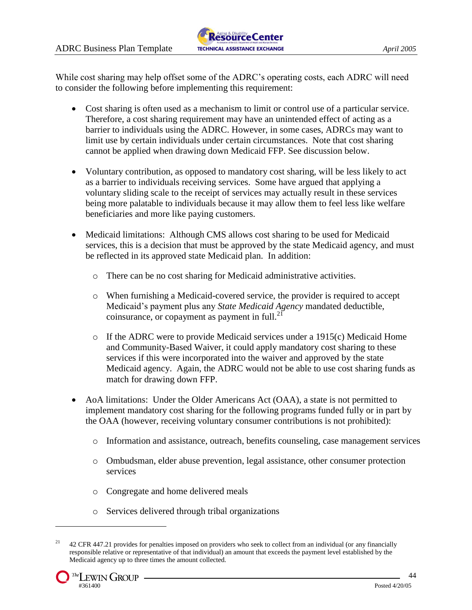

While cost sharing may help offset some of the ADRC's operating costs, each ADRC will need to consider the following before implementing this requirement:

- Cost sharing is often used as a mechanism to limit or control use of a particular service. Therefore, a cost sharing requirement may have an unintended effect of acting as a barrier to individuals using the ADRC. However, in some cases, ADRCs may want to limit use by certain individuals under certain circumstances. Note that cost sharing cannot be applied when drawing down Medicaid FFP. See discussion below.
- Voluntary contribution, as opposed to mandatory cost sharing, will be less likely to act as a barrier to individuals receiving services. Some have argued that applying a voluntary sliding scale to the receipt of services may actually result in these services being more palatable to individuals because it may allow them to feel less like welfare beneficiaries and more like paying customers.
- Medicaid limitations: Although CMS allows cost sharing to be used for Medicaid services, this is a decision that must be approved by the state Medicaid agency, and must be reflected in its approved state Medicaid plan. In addition:
	- o There can be no cost sharing for Medicaid administrative activities.
	- o When furnishing a Medicaid-covered service, the provider is required to accept Medicaid's payment plus any *State Medicaid Agency* mandated deductible, coinsurance, or copayment as payment in full. $^{21}$
	- o If the ADRC were to provide Medicaid services under a 1915(c) Medicaid Home and Community-Based Waiver, it could apply mandatory cost sharing to these services if this were incorporated into the waiver and approved by the state Medicaid agency. Again, the ADRC would not be able to use cost sharing funds as match for drawing down FFP.
- AoA limitations: Under the Older Americans Act (OAA), a state is not permitted to implement mandatory cost sharing for the following programs funded fully or in part by the OAA (however, receiving voluntary consumer contributions is not prohibited):
	- o Information and assistance, outreach, benefits counseling, case management services
	- o Ombudsman, elder abuse prevention, legal assistance, other consumer protection services
	- o Congregate and home delivered meals
	- o Services delivered through tribal organizations

<sup>&</sup>lt;sup>21</sup> 42 CFR 447.21 provides for penalties imposed on providers who seek to collect from an individual (or any financially responsible relative or representative of that individual) an amount that exceeds the payment level established by the Medicaid agency up to three times the amount collected.

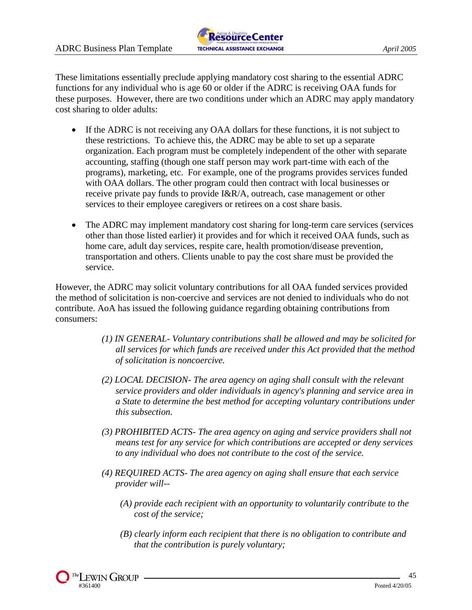These limitations essentially preclude applying mandatory cost sharing to the essential ADRC functions for any individual who is age 60 or older if the ADRC is receiving OAA funds for these purposes. However, there are two conditions under which an ADRC may apply mandatory cost sharing to older adults:

- If the ADRC is not receiving any OAA dollars for these functions, it is not subject to these restrictions. To achieve this, the ADRC may be able to set up a separate organization. Each program must be completely independent of the other with separate accounting, staffing (though one staff person may work part-time with each of the programs), marketing, etc. For example, one of the programs provides services funded with OAA dollars. The other program could then contract with local businesses or receive private pay funds to provide I&R/A, outreach, case management or other services to their employee caregivers or retirees on a cost share basis.
- The ADRC may implement mandatory cost sharing for long-term care services (services other than those listed earlier) it provides and for which it received OAA funds, such as home care, adult day services, respite care, health promotion/disease prevention, transportation and others. Clients unable to pay the cost share must be provided the service.

However, the ADRC may solicit voluntary contributions for all OAA funded services provided the method of solicitation is non-coercive and services are not denied to individuals who do not contribute. AoA has issued the following guidance regarding obtaining contributions from consumers:

- *(1) IN GENERAL- Voluntary contributions shall be allowed and may be solicited for all services for which funds are received under this Act provided that the method of solicitation is noncoercive.*
- *(2) LOCAL DECISION- The area agency on aging shall consult with the relevant service providers and older individuals in agency's planning and service area in a State to determine the best method for accepting voluntary contributions under this subsection.*
- *(3) PROHIBITED ACTS- The area agency on aging and service providers shall not means test for any service for which contributions are accepted or deny services to any individual who does not contribute to the cost of the service.*
- *(4) REQUIRED ACTS- The area agency on aging shall ensure that each service provider will--*
	- *(A) provide each recipient with an opportunity to voluntarily contribute to the cost of the service;*
	- *(B) clearly inform each recipient that there is no obligation to contribute and that the contribution is purely voluntary;*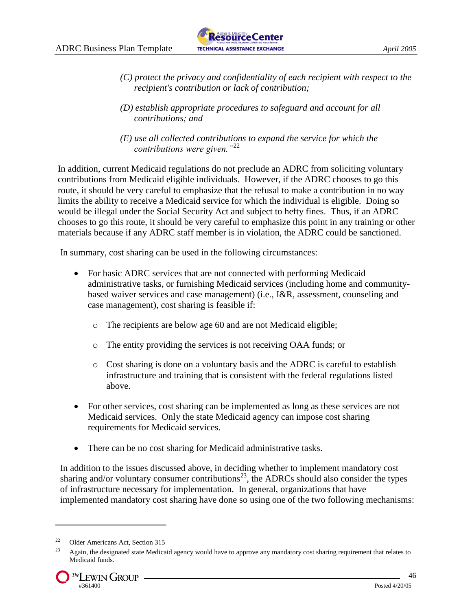

- *(C) protect the privacy and confidentiality of each recipient with respect to the recipient's contribution or lack of contribution;*
- *(D) establish appropriate procedures to safeguard and account for all contributions; and*
- *(E) use all collected contributions to expand the service for which the contributions were given."*<sup>22</sup>

In addition, current Medicaid regulations do not preclude an ADRC from soliciting voluntary contributions from Medicaid eligible individuals. However, if the ADRC chooses to go this route, it should be very careful to emphasize that the refusal to make a contribution in no way limits the ability to receive a Medicaid service for which the individual is eligible. Doing so would be illegal under the Social Security Act and subject to hefty fines. Thus, if an ADRC chooses to go this route, it should be very careful to emphasize this point in any training or other materials because if any ADRC staff member is in violation, the ADRC could be sanctioned.

In summary, cost sharing can be used in the following circumstances:

- For basic ADRC services that are not connected with performing Medicaid administrative tasks, or furnishing Medicaid services (including home and communitybased waiver services and case management) (i.e., I&R, assessment, counseling and case management), cost sharing is feasible if:
	- o The recipients are below age 60 and are not Medicaid eligible;
	- o The entity providing the services is not receiving OAA funds; or
	- o Cost sharing is done on a voluntary basis and the ADRC is careful to establish infrastructure and training that is consistent with the federal regulations listed above.
- For other services, cost sharing can be implemented as long as these services are not Medicaid services. Only the state Medicaid agency can impose cost sharing requirements for Medicaid services.
- There can be no cost sharing for Medicaid administrative tasks.

In addition to the issues discussed above, in deciding whether to implement mandatory cost sharing and/or voluntary consumer contributions<sup>23</sup>, the ADRCs should also consider the types of infrastructure necessary for implementation. In general, organizations that have implemented mandatory cost sharing have done so using one of the two following mechanisms:

<sup>22</sup> Older Americans Act, Section 315

 $^{23}$  Again, the designated state Medicaid agency would have to approve any mandatory cost sharing requirement that relates to Medicaid funds.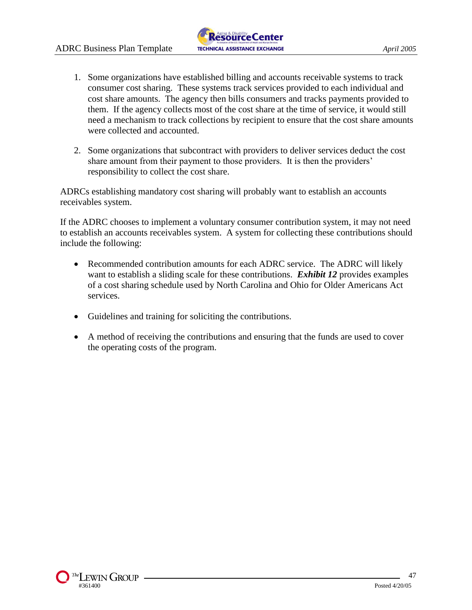

- 1. Some organizations have established billing and accounts receivable systems to track consumer cost sharing. These systems track services provided to each individual and cost share amounts. The agency then bills consumers and tracks payments provided to them. If the agency collects most of the cost share at the time of service, it would still need a mechanism to track collections by recipient to ensure that the cost share amounts were collected and accounted.
- 2. Some organizations that subcontract with providers to deliver services deduct the cost share amount from their payment to those providers. It is then the providers' responsibility to collect the cost share.

ADRCs establishing mandatory cost sharing will probably want to establish an accounts receivables system.

If the ADRC chooses to implement a voluntary consumer contribution system, it may not need to establish an accounts receivables system. A system for collecting these contributions should include the following:

- Recommended contribution amounts for each ADRC service. The ADRC will likely want to establish a sliding scale for these contributions. **Exhibit 12** provides examples of a cost sharing schedule used by North Carolina and Ohio for Older Americans Act services.
- Guidelines and training for soliciting the contributions.
- A method of receiving the contributions and ensuring that the funds are used to cover the operating costs of the program.

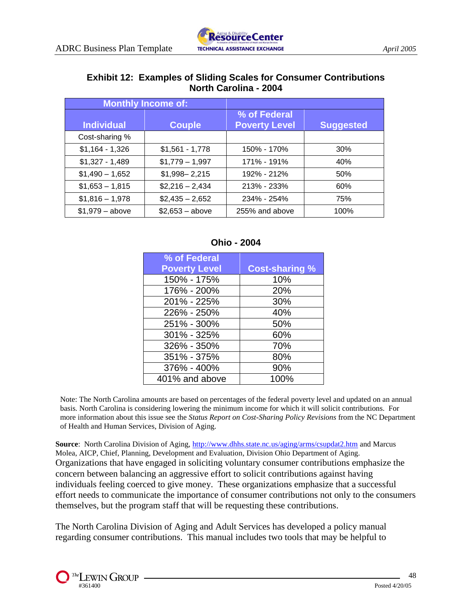#### **Exhibit 12: Examples of Sliding Scales for Consumer Contributions North Carolina - 2004**

| <b>Monthly Income of:</b> |                  |                                      |                  |
|---------------------------|------------------|--------------------------------------|------------------|
| <b>Individual</b>         | <b>Couple</b>    | % of Federal<br><b>Poverty Level</b> | <b>Suggested</b> |
| Cost-sharing %            |                  |                                      |                  |
| $$1,164 - 1,326$          | $$1,561 - 1,778$ | 150% - 170%                          | 30%              |
| $$1,327 - 1,489$          | $$1,779-1,997$   | 171% - 191%                          | 40%              |
| $$1,490 - 1,652$          | $$1,998 - 2,215$ | 192% - 212%                          | 50%              |
| $$1,653 - 1,815$          | $$2,216 - 2,434$ | 213% - 233%                          | 60%              |
| $$1,816 - 1,978$          | $$2,435 - 2,652$ | 234% - 254%                          | 75%              |
| $$1,979 - above$          | $$2,653 - above$ | 255% and above                       | 100%             |

#### **Ohio - 2004**

| % of Federal         |                       |
|----------------------|-----------------------|
| <b>Poverty Level</b> | <b>Cost-sharing %</b> |
| 150% - 175%          | 10%                   |
| 176% - 200%          | 20%                   |
| 201% - 225%          | 30%                   |
| 226% - 250%          | 40%                   |
| 251% - 300%          | 50%                   |
| 301% - 325%          | 60%                   |
| 326% - 350%          | 70%                   |
| 351% - 375%          | 80%                   |
| 376% - 400%          | 90%                   |
| 401% and above       | 100%                  |

Note: The North Carolina amounts are based on percentages of the federal poverty level and updated on an annual basis. North Carolina is considering lowering the minimum income for which it will solicit contributions. For more information about this issue see the *Status Report on Cost-Sharing Policy Revisions* from the NC Department of Health and Human Services, Division of Aging.

**Source**: North Carolina Division of Aging,<http://www.dhhs.state.nc.us/aging/arms/csupdat2.htm> and Marcus Molea, AICP, Chief, Planning, Development and Evaluation, Division Ohio Department of Aging. Organizations that have engaged in soliciting voluntary consumer contributions emphasize the concern between balancing an aggressive effort to solicit contributions against having individuals feeling coerced to give money. These organizations emphasize that a successful effort needs to communicate the importance of consumer contributions not only to the consumers themselves, but the program staff that will be requesting these contributions.

The North Carolina Division of Aging and Adult Services has developed a policy manual regarding consumer contributions. This manual includes two tools that may be helpful to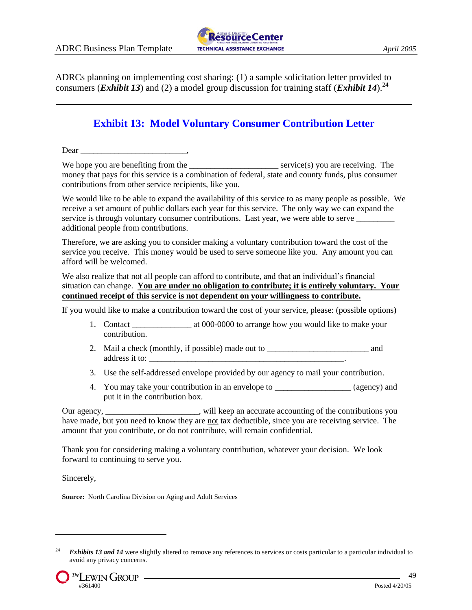

ADRCs planning on implementing cost sharing: (1) a sample solicitation letter provided to consumers (*Exhibit 13*) and (2) a model group discussion for training staff (*Exhibit 14*).<sup>24</sup>

| <b>Exhibit 13: Model Voluntary Consumer Contribution Letter</b>                                                                                                                                                                                                                                                                              |  |  |  |  |
|----------------------------------------------------------------------------------------------------------------------------------------------------------------------------------------------------------------------------------------------------------------------------------------------------------------------------------------------|--|--|--|--|
|                                                                                                                                                                                                                                                                                                                                              |  |  |  |  |
| money that pays for this service is a combination of federal, state and county funds, plus consumer<br>contributions from other service recipients, like you.                                                                                                                                                                                |  |  |  |  |
| We would like to be able to expand the availability of this service to as many people as possible. We<br>receive a set amount of public dollars each year for this service. The only way we can expand the<br>service is through voluntary consumer contributions. Last year, we were able to serve<br>additional people from contributions. |  |  |  |  |
| Therefore, we are asking you to consider making a voluntary contribution toward the cost of the<br>service you receive. This money would be used to serve someone like you. Any amount you can<br>afford will be welcomed.                                                                                                                   |  |  |  |  |
| We also realize that not all people can afford to contribute, and that an individual's financial<br>situation can change. You are under no obligation to contribute; it is entirely voluntary. Your<br>continued receipt of this service is not dependent on your willingness to contribute.                                                 |  |  |  |  |
| If you would like to make a contribution toward the cost of your service, please: (possible options)                                                                                                                                                                                                                                         |  |  |  |  |
| contribution.                                                                                                                                                                                                                                                                                                                                |  |  |  |  |
| address it to:                                                                                                                                                                                                                                                                                                                               |  |  |  |  |
| 3. Use the self-addressed envelope provided by our agency to mail your contribution.                                                                                                                                                                                                                                                         |  |  |  |  |
| You may take your contribution in an envelope to ____________________ (agency) and<br>4.<br>put it in the contribution box.                                                                                                                                                                                                                  |  |  |  |  |
| Our agency, ________________________, will keep an accurate accounting of the contributions you<br>have made, but you need to know they are not tax deductible, since you are receiving service. The<br>amount that you contribute, or do not contribute, will remain confidential.                                                          |  |  |  |  |
| Thank you for considering making a voluntary contribution, whatever your decision. We look<br>forward to continuing to serve you.                                                                                                                                                                                                            |  |  |  |  |
| Sincerely,                                                                                                                                                                                                                                                                                                                                   |  |  |  |  |
| Source: North Carolina Division on Aging and Adult Services                                                                                                                                                                                                                                                                                  |  |  |  |  |

<sup>&</sup>lt;sup>24</sup> *Exhibits 13 and 14* were slightly altered to remove any references to services or costs particular to a particular individual to avoid any privacy concerns.

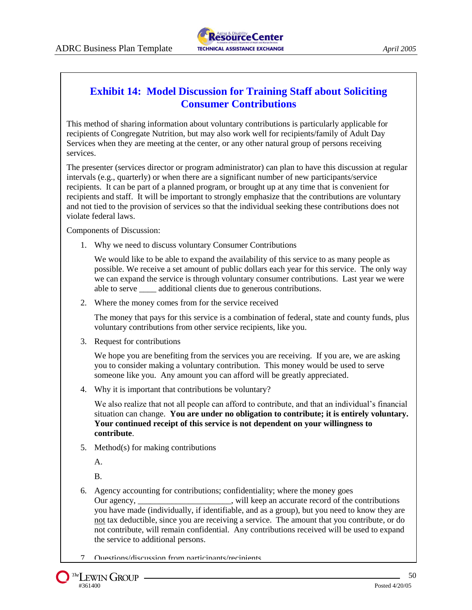# **Exhibit 14: Model Discussion for Training Staff about Soliciting Consumer Contributions**

This method of sharing information about voluntary contributions is particularly applicable for recipients of Congregate Nutrition, but may also work well for recipients/family of Adult Day Services when they are meeting at the center, or any other natural group of persons receiving services.

The presenter (services director or program administrator) can plan to have this discussion at regular intervals (e.g., quarterly) or when there are a significant number of new participants/service recipients. It can be part of a planned program, or brought up at any time that is convenient for recipients and staff. It will be important to strongly emphasize that the contributions are voluntary and not tied to the provision of services so that the individual seeking these contributions does not violate federal laws.

Components of Discussion:

1. Why we need to discuss voluntary Consumer Contributions

We would like to be able to expand the availability of this service to as many people as possible. We receive a set amount of public dollars each year for this service. The only way we can expand the service is through voluntary consumer contributions. Last year we were able to serve \_\_\_\_ additional clients due to generous contributions.

2. Where the money comes from for the service received

The money that pays for this service is a combination of federal, state and county funds, plus voluntary contributions from other service recipients, like you.

3. Request for contributions

We hope you are benefiting from the services you are receiving. If you are, we are asking you to consider making a voluntary contribution. This money would be used to serve someone like you. Any amount you can afford will be greatly appreciated.

4. Why it is important that contributions be voluntary?

We also realize that not all people can afford to contribute, and that an individual's financial situation can change. **You are under no obligation to contribute; it is entirely voluntary. Your continued receipt of this service is not dependent on your willingness to contribute**.

5. Method(s) for making contributions

A.

B.

6. Agency accounting for contributions; confidentiality; where the money goes Our agency, \_\_\_\_\_\_\_\_\_\_\_\_\_\_\_\_\_\_\_\_\_\_, will keep an accurate record of the contributions you have made (individually, if identifiable, and as a group), but you need to know they are not tax deductible, since you are receiving a service. The amount that you contribute, or do not contribute, will remain confidential. Any contributions received will be used to expand the service to additional persons.

7. Questions/discussion from participants/recipients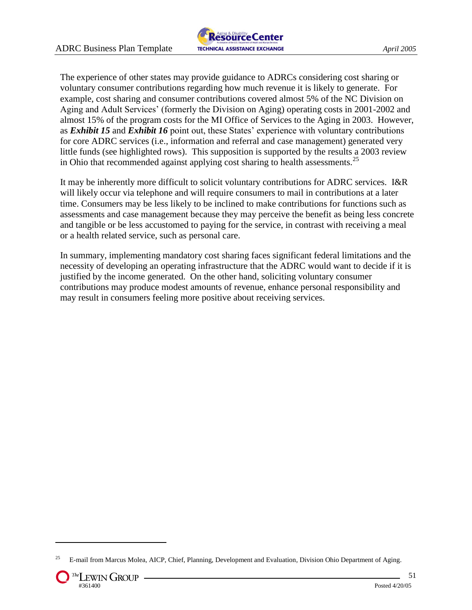

The experience of other states may provide guidance to ADRCs considering cost sharing or voluntary consumer contributions regarding how much revenue it is likely to generate. For example, cost sharing and consumer contributions covered almost 5% of the NC Division on Aging and Adult Services' (formerly the Division on Aging) operating costs in 2001-2002 and almost 15% of the program costs for the MI Office of Services to the Aging in 2003. However, as *Exhibit 15* and *Exhibit 16* point out, these States' experience with voluntary contributions for core ADRC services (i.e., information and referral and case management) generated very little funds (see highlighted rows). This supposition is supported by the results a 2003 review in Ohio that recommended against applying cost sharing to health assessments.<sup>25</sup>

It may be inherently more difficult to solicit voluntary contributions for ADRC services. I&R will likely occur via telephone and will require consumers to mail in contributions at a later time. Consumers may be less likely to be inclined to make contributions for functions such as assessments and case management because they may perceive the benefit as being less concrete and tangible or be less accustomed to paying for the service, in contrast with receiving a meal or a health related service, such as personal care.

In summary, implementing mandatory cost sharing faces significant federal limitations and the necessity of developing an operating infrastructure that the ADRC would want to decide if it is justified by the income generated. On the other hand, soliciting voluntary consumer contributions may produce modest amounts of revenue, enhance personal responsibility and may result in consumers feeling more positive about receiving services.

<sup>&</sup>lt;sup>25</sup> E-mail from Marcus Molea, AICP, Chief, Planning, Development and Evaluation, Division Ohio Department of Aging.

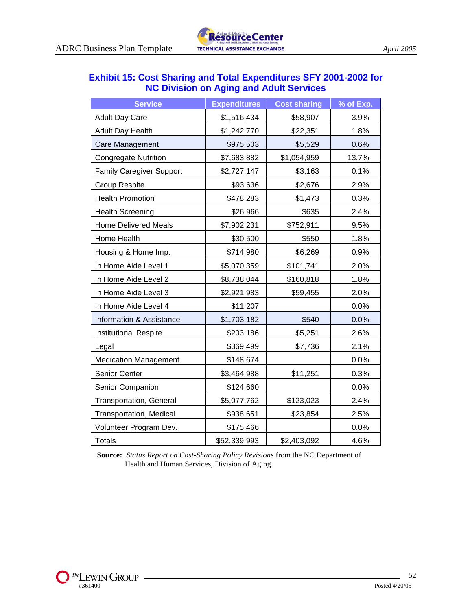| <b>Exhibit 15: Cost Sharing and Total Expenditures SFY 2001-2002 for</b> |
|--------------------------------------------------------------------------|
| <b>NC Division on Aging and Adult Services</b>                           |

| <b>Service</b>                  | <b>Expenditures</b> | <b>Cost sharing</b> | % of Exp. |
|---------------------------------|---------------------|---------------------|-----------|
| <b>Adult Day Care</b>           | \$1,516,434         | \$58,907            | 3.9%      |
| <b>Adult Day Health</b>         | \$1,242,770         | \$22,351            | 1.8%      |
| Care Management                 | \$975,503           | \$5,529             | 0.6%      |
| <b>Congregate Nutrition</b>     | \$7,683,882         | \$1,054,959         | 13.7%     |
| <b>Family Caregiver Support</b> | \$2,727,147         | \$3,163             | 0.1%      |
| <b>Group Respite</b>            | \$93,636            | \$2,676             | 2.9%      |
| <b>Health Promotion</b>         | \$478,283           | \$1,473             | 0.3%      |
| <b>Health Screening</b>         | \$26,966            | \$635               | 2.4%      |
| <b>Home Delivered Meals</b>     | \$7,902,231         | \$752,911           | 9.5%      |
| Home Health                     | \$30,500            | \$550               | 1.8%      |
| Housing & Home Imp.             | \$714,980           | \$6,269             | 0.9%      |
| In Home Aide Level 1            | \$5,070,359         | \$101,741           | 2.0%      |
| In Home Aide Level 2            | \$8,738,044         | \$160,818           | 1.8%      |
| In Home Aide Level 3            | \$2,921,983         | \$59,455            | 2.0%      |
| In Home Aide Level 4            | \$11,207            |                     | 0.0%      |
| Information & Assistance        | \$1,703,182         | \$540               | 0.0%      |
| Institutional Respite           | \$203,186           | \$5,251             | 2.6%      |
| Legal                           | \$369,499           | \$7,736             | 2.1%      |
| <b>Medication Management</b>    | \$148,674           |                     | 0.0%      |
| Senior Center                   | \$3,464,988         | \$11,251            | 0.3%      |
| Senior Companion                | \$124,660           |                     | 0.0%      |
| Transportation, General         | \$5,077,762         | \$123,023           | 2.4%      |
| Transportation, Medical         | \$938,651           | \$23,854            | 2.5%      |
| Volunteer Program Dev.          | \$175,466           |                     | 0.0%      |
| <b>Totals</b>                   | \$52,339,993        | \$2,403,092         | 4.6%      |

**Source:** *Status Report on Cost-Sharing Policy Revisions* from the NC Department of Health and Human Services, Division of Aging.

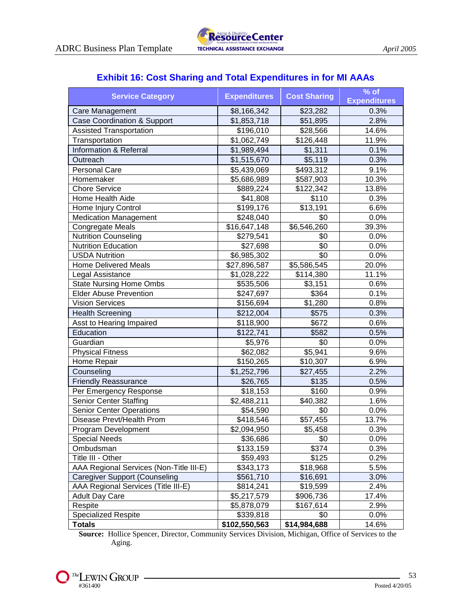# **Exhibit 16: Cost Sharing and Total Expenditures in for MI AAAs**

| <b>Service Category</b>                 | <b>Expenditures</b>     | <b>Cost Sharing</b> | $%$ of<br><b>Expenditures</b> |
|-----------------------------------------|-------------------------|---------------------|-------------------------------|
| Care Management                         | \$8,166,342             | \$23,282            | 0.3%                          |
| <b>Case Coordination &amp; Support</b>  | \$1,853,718             | \$51,895            | 2.8%                          |
| <b>Assisted Transportation</b>          | \$196,010               | \$28,566            | 14.6%                         |
| Transportation                          | \$1,062,749             | $\sqrt{$126,448}$   | 11.9%                         |
| <b>Information &amp; Referral</b>       | \$1,989,494             | \$1,311             | 0.1%                          |
| Outreach                                | \$1,515,670             | \$5,119             | 0.3%                          |
| <b>Personal Care</b>                    | \$5,439,069             | \$493,312           | 9.1%                          |
| Homemaker                               | \$5,686,989             | \$587,903           | 10.3%                         |
| <b>Chore Service</b>                    | \$889,224               | \$122,342           | 13.8%                         |
| Home Health Aide                        | \$41,808                | \$110               | 0.3%                          |
| Home Injury Control                     | \$199,176               | \$13,191            | 6.6%                          |
| <b>Medication Management</b>            | \$248,040               | \$0                 | 0.0%                          |
| <b>Congregate Meals</b>                 | \$16,647,148            | \$6,546,260         | 39.3%                         |
| <b>Nutrition Counseling</b>             | \$279,541               | \$0                 | 0.0%                          |
| <b>Nutrition Education</b>              | \$27,698                | \$0                 | 0.0%                          |
| <b>USDA Nutrition</b>                   | \$6,985,302             | \$0                 | 0.0%                          |
| <b>Home Delivered Meals</b>             | \$27,896,587            | \$5,586,545         | 20.0%                         |
| Legal Assistance                        | \$1,028,222             | \$114,380           | 11.1%                         |
| <b>State Nursing Home Ombs</b>          | \$535,506               | \$3,151             | 0.6%                          |
| <b>Elder Abuse Prevention</b>           | \$247,697               | \$364               | 0.1%                          |
| <b>Vision Services</b>                  | \$156,694               | \$1,280             | 0.8%                          |
| <b>Health Screening</b>                 | \$212,004               | \$575               | 0.3%                          |
| Asst to Hearing Impaired                | \$118,900               | \$672               | 0.6%                          |
| Education                               | \$122,741               | \$582               | 0.5%                          |
| Guardian                                | \$5,976                 | \$0                 | 0.0%                          |
| <b>Physical Fitness</b>                 | \$62,082                | \$5,941             | 9.6%                          |
| Home Repair                             | \$150,265               | \$10,307            | 6.9%                          |
| Counseling                              | \$1,252,796             | \$27,455            | 2.2%                          |
| <b>Friendly Reassurance</b>             | \$26,765                | \$135               | 0.5%                          |
| Per Emergency Response                  | \$18,153                | \$160               | 0.9%                          |
| <b>Senior Center Staffing</b>           | $\overline{$}2,488,211$ | \$40,382            | 1.6%                          |
| <b>Senior Center Operations</b>         | \$54,590                | \$0                 | 0.0%                          |
| Disease Prevt/Health Prom               | \$418,546               | \$57,455            | 13.7%                         |
| Program Development                     | \$2,094,950             | \$5,458             | 0.3%                          |
| <b>Special Needs</b>                    | \$36,686                | \$0                 | 0.0%                          |
| Ombudsman                               | \$133,159               | \$374               | 0.3%                          |
| Title III - Other                       | \$59,493                | \$125               | 0.2%                          |
| AAA Regional Services (Non-Title III-E) | \$343,173               | \$18,968            | 5.5%                          |
| <b>Caregiver Support (Counseling</b>    | \$561,710               | \$16,691            | 3.0%                          |
| AAA Regional Services (Title III-E)     | \$814,241               | \$19,599            | 2.4%                          |
| <b>Adult Day Care</b>                   | \$5,217,579             | \$906,736           | 17.4%                         |
| Respite                                 | \$5,878,079             | \$167,614           | 2.9%                          |
| <b>Specialized Respite</b>              | $\overline{$}339,818$   | \$0                 | 0.0%                          |
| <b>Totals</b>                           | \$102,550,563           | \$14,984,688        | 14.6%                         |

**Source:** Hollice Spencer, Director, Community Services Division, Michigan, Office of Services to the Aging.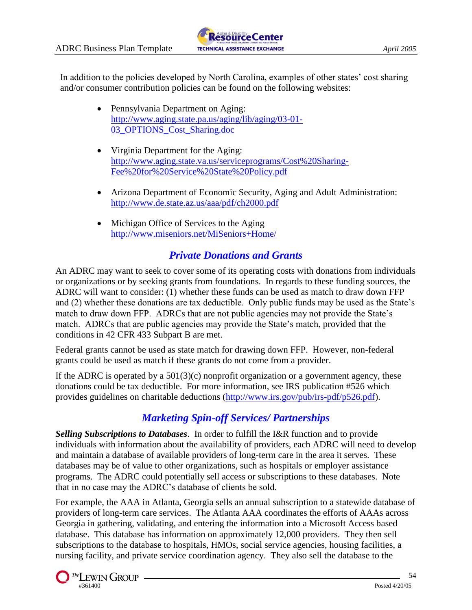In addition to the policies developed by North Carolina, examples of other states' cost sharing and/or consumer contribution policies can be found on the following websites:

- Pennsylvania Department on Aging: [http://www.aging.state.pa.us/aging/lib/aging/03-01-](http://www.aging.state.pa.us/aging/lib/aging/03-01-03_OPTIONS_Cost_Sharing.doc) [03\\_OPTIONS\\_Cost\\_Sharing.doc](http://www.aging.state.pa.us/aging/lib/aging/03-01-03_OPTIONS_Cost_Sharing.doc)
- Virginia Department for the Aging: [http://www.aging.state.va.us/serviceprograms/Cost%20Sharing-](http://www.aging.state.va.us/serviceprograms/Cost%20Sharing-Fee%20for%20Service%20State%20Policy.pdf)[Fee%20for%20Service%20State%20Policy.pdf](http://www.aging.state.va.us/serviceprograms/Cost%20Sharing-Fee%20for%20Service%20State%20Policy.pdf)
- Arizona Department of Economic Security, Aging and Adult Administration: <http://www.de.state.az.us/aaa/pdf/ch2000.pdf>
- Michigan Office of Services to the Aging <http://www.miseniors.net/MiSeniors+Home/>

# *Private Donations and Grants*

An ADRC may want to seek to cover some of its operating costs with donations from individuals or organizations or by seeking grants from foundations. In regards to these funding sources, the ADRC will want to consider: (1) whether these funds can be used as match to draw down FFP and (2) whether these donations are tax deductible. Only public funds may be used as the State's match to draw down FFP. ADRCs that are not public agencies may not provide the State's match. ADRCs that are public agencies may provide the State's match, provided that the conditions in 42 CFR 433 Subpart B are met.

Federal grants cannot be used as state match for drawing down FFP. However, non-federal grants could be used as match if these grants do not come from a provider.

If the ADRC is operated by a  $501(3)(c)$  nonprofit organization or a government agency, these donations could be tax deductible. For more information, see IRS publication #526 which provides guidelines on charitable deductions [\(http://www.irs.gov/pub/irs-pdf/p526.pdf\)](http://www.irs.gov/pub/irs-pdf/p526.pdf).

# *Marketing Spin-off Services/ Partnerships*

*Selling Subscriptions to Databases*. In order to fulfill the I&R function and to provide individuals with information about the availability of providers, each ADRC will need to develop and maintain a database of available providers of long-term care in the area it serves. These databases may be of value to other organizations, such as hospitals or employer assistance programs. The ADRC could potentially sell access or subscriptions to these databases. Note that in no case may the ADRC's database of clients be sold.

For example, the AAA in Atlanta, Georgia sells an annual subscription to a statewide database of providers of long-term care services. The Atlanta AAA coordinates the efforts of AAAs across Georgia in gathering, validating, and entering the information into a Microsoft Access based database. This database has information on approximately 12,000 providers. They then sell subscriptions to the database to hospitals, HMOs, social service agencies, housing facilities, a nursing facility, and private service coordination agency. They also sell the database to the